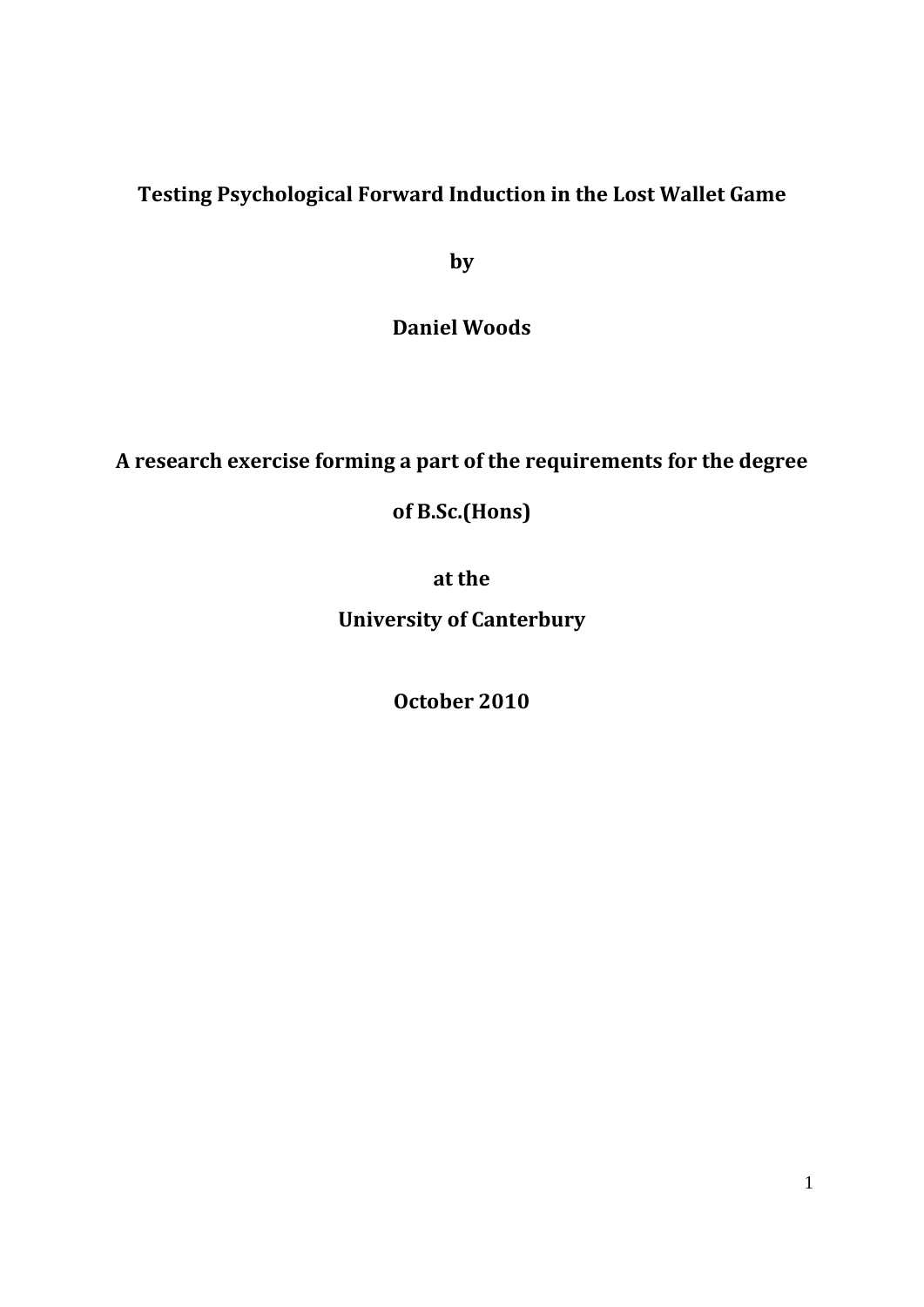# **Testing Psychological Forward Induction in the Lost Wallet Game**

**by**

**Daniel Woods**

# **A research exercise forming a part of the requirements for the degree**

# **of B.Sc.(Hons)**

**at the** 

**University of Canterbury**

**October 2010**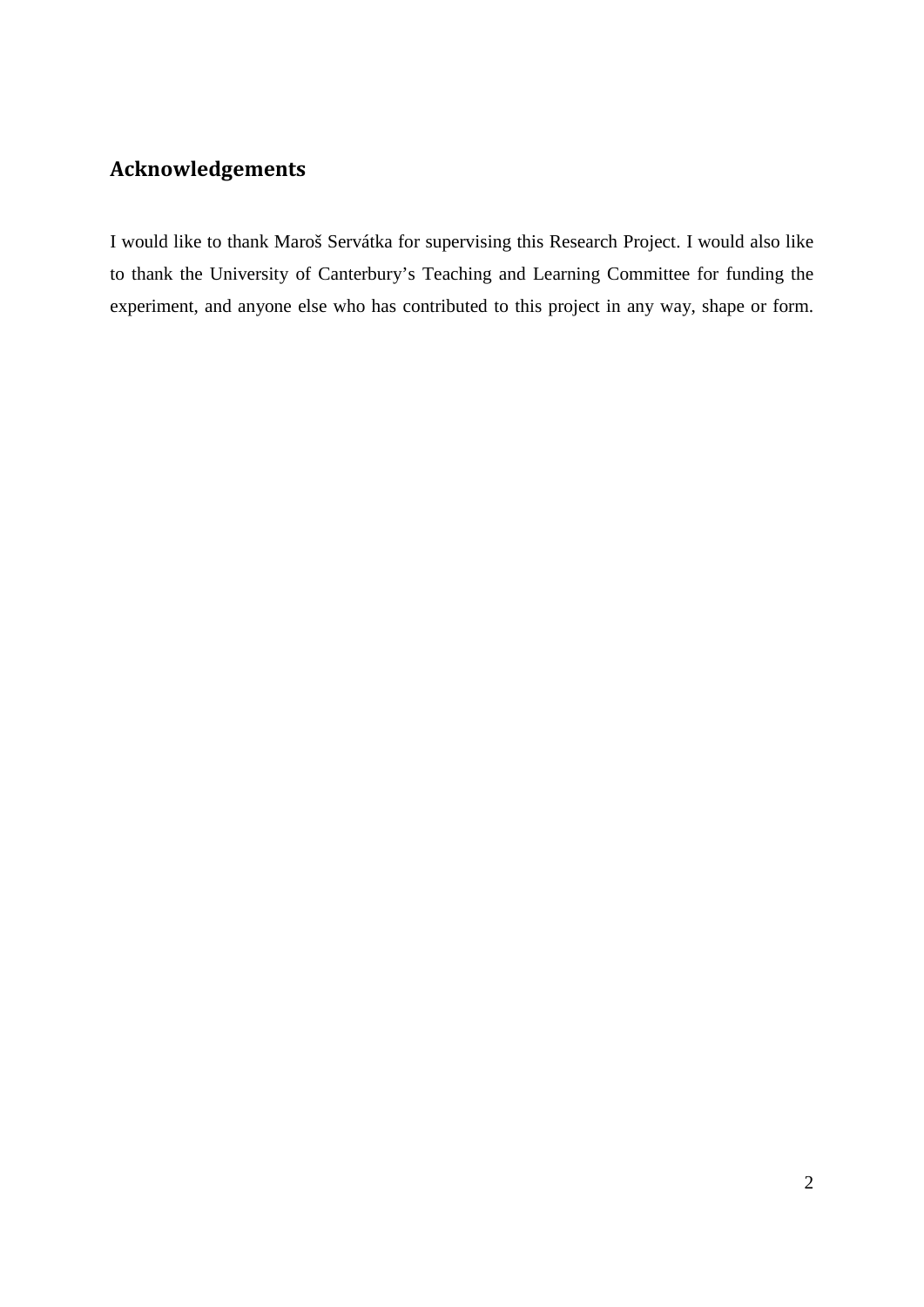# **Acknowledgements**

I would like to thank Maroš Servátka for supervising this Research Project. I would also like to thank the University of Canterbury's Teaching and Learning Committee for funding the experiment, and anyone else who has contributed to this project in any way, shape or form.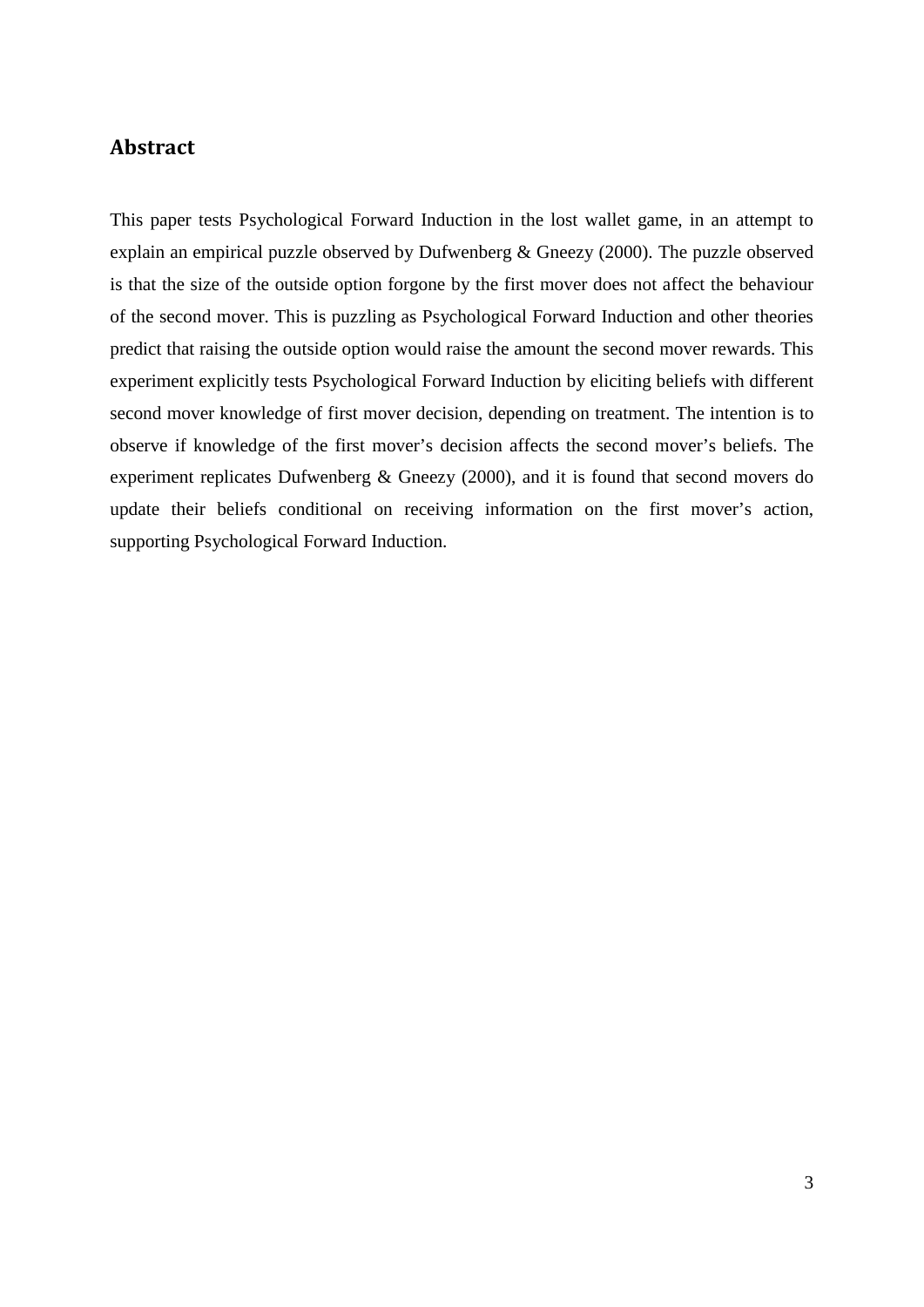# **Abstract**

This paper tests Psychological Forward Induction in the lost wallet game, in an attempt to explain an empirical puzzle observed by Dufwenberg & Gneezy (2000). The puzzle observed is that the size of the outside option forgone by the first mover does not affect the behaviour of the second mover. This is puzzling as Psychological Forward Induction and other theories predict that raising the outside option would raise the amount the second mover rewards. This experiment explicitly tests Psychological Forward Induction by eliciting beliefs with different second mover knowledge of first mover decision, depending on treatment. The intention is to observe if knowledge of the first mover's decision affects the second mover's beliefs. The experiment replicates Dufwenberg & Gneezy (2000), and it is found that second movers do update their beliefs conditional on receiving information on the first mover's action, supporting Psychological Forward Induction.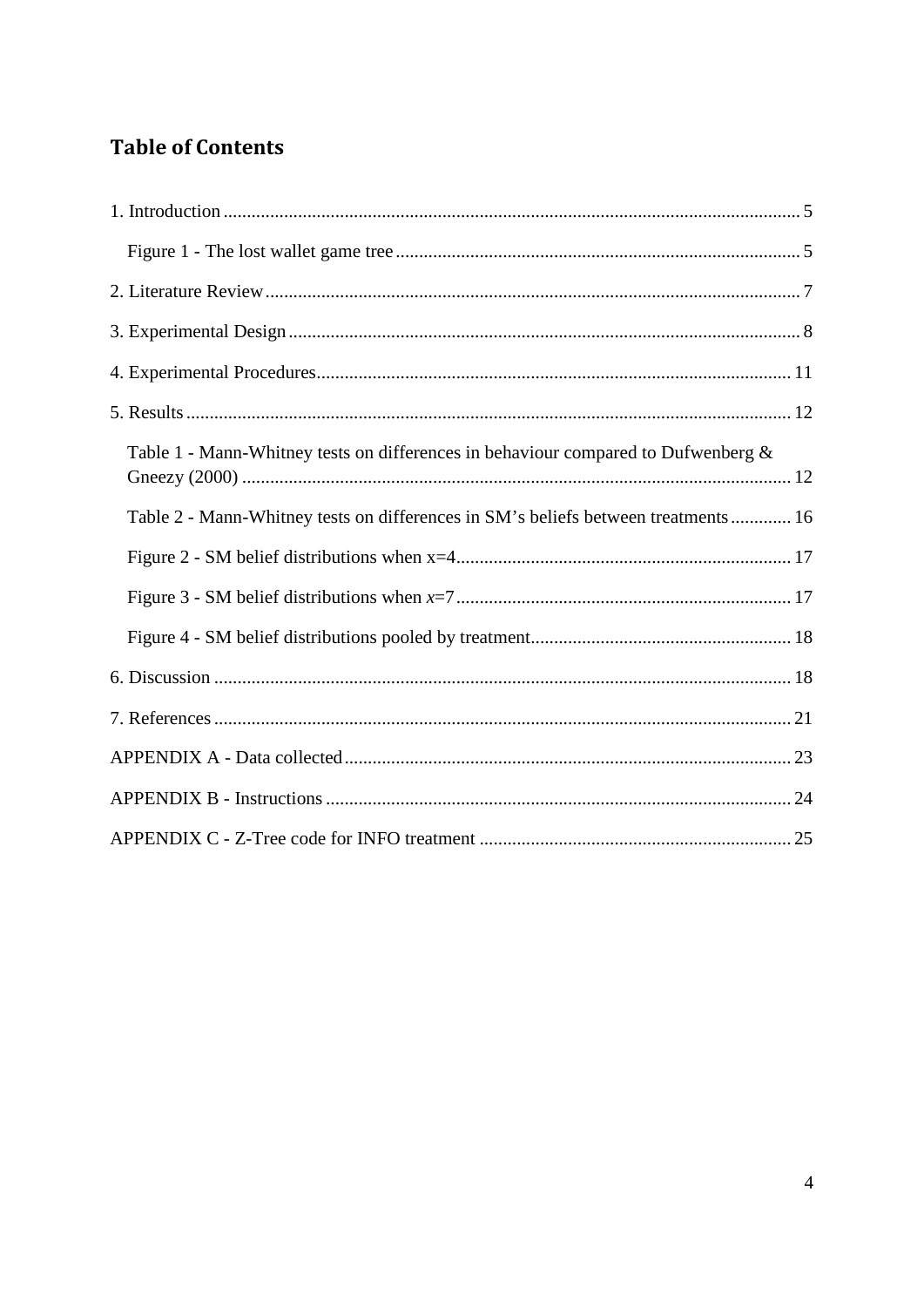# **Table of Contents**

| Table 1 - Mann-Whitney tests on differences in behaviour compared to Dufwenberg $\&$ |
|--------------------------------------------------------------------------------------|
| Table 2 - Mann-Whitney tests on differences in SM's beliefs between treatments 16    |
|                                                                                      |
|                                                                                      |
|                                                                                      |
|                                                                                      |
|                                                                                      |
|                                                                                      |
|                                                                                      |
|                                                                                      |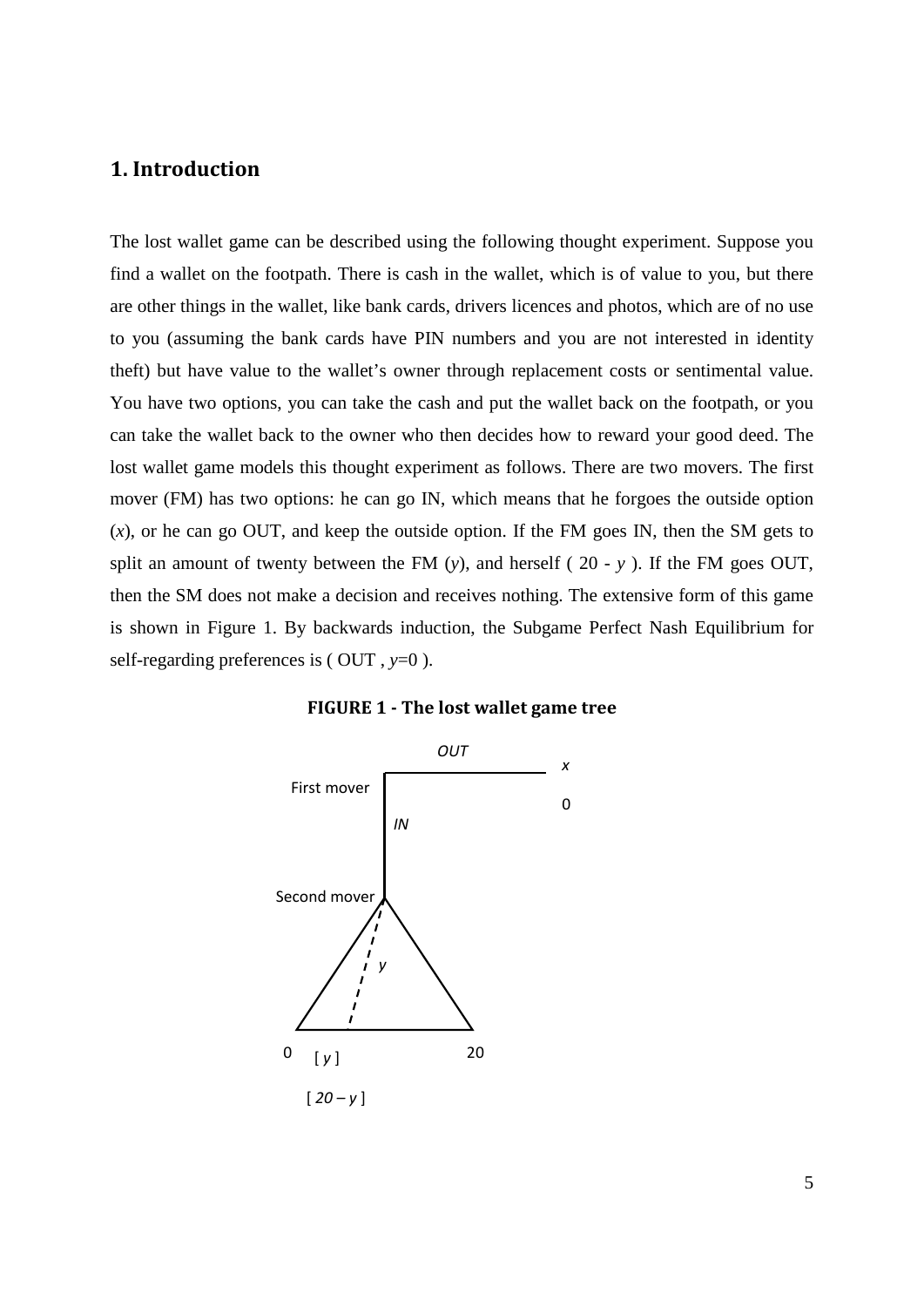# <span id="page-4-0"></span>**1. Introduction**

The lost wallet game can be described using the following thought experiment. Suppose you find a wallet on the footpath. There is cash in the wallet, which is of value to you, but there are other things in the wallet, like bank cards, drivers licences and photos, which are of no use to you (assuming the bank cards have PIN numbers and you are not interested in identity theft) but have value to the wallet's owner through replacement costs or sentimental value. You have two options, you can take the cash and put the wallet back on the footpath, or you can take the wallet back to the owner who then decides how to reward your good deed. The lost wallet game models this thought experiment as follows. There are two movers. The first mover (FM) has two options: he can go IN, which means that he forgoes the outside option (*x*), or he can go OUT, and keep the outside option. If the FM goes IN, then the SM gets to split an amount of twenty between the FM (*y*), and herself ( 20 *- y* ). If the FM goes OUT, then the SM does not make a decision and receives nothing. The extensive form of this game is shown in Figure 1. By backwards induction, the Subgame Perfect Nash Equilibrium for self-regarding preferences is ( OUT , *y*=0 ).



<span id="page-4-1"></span>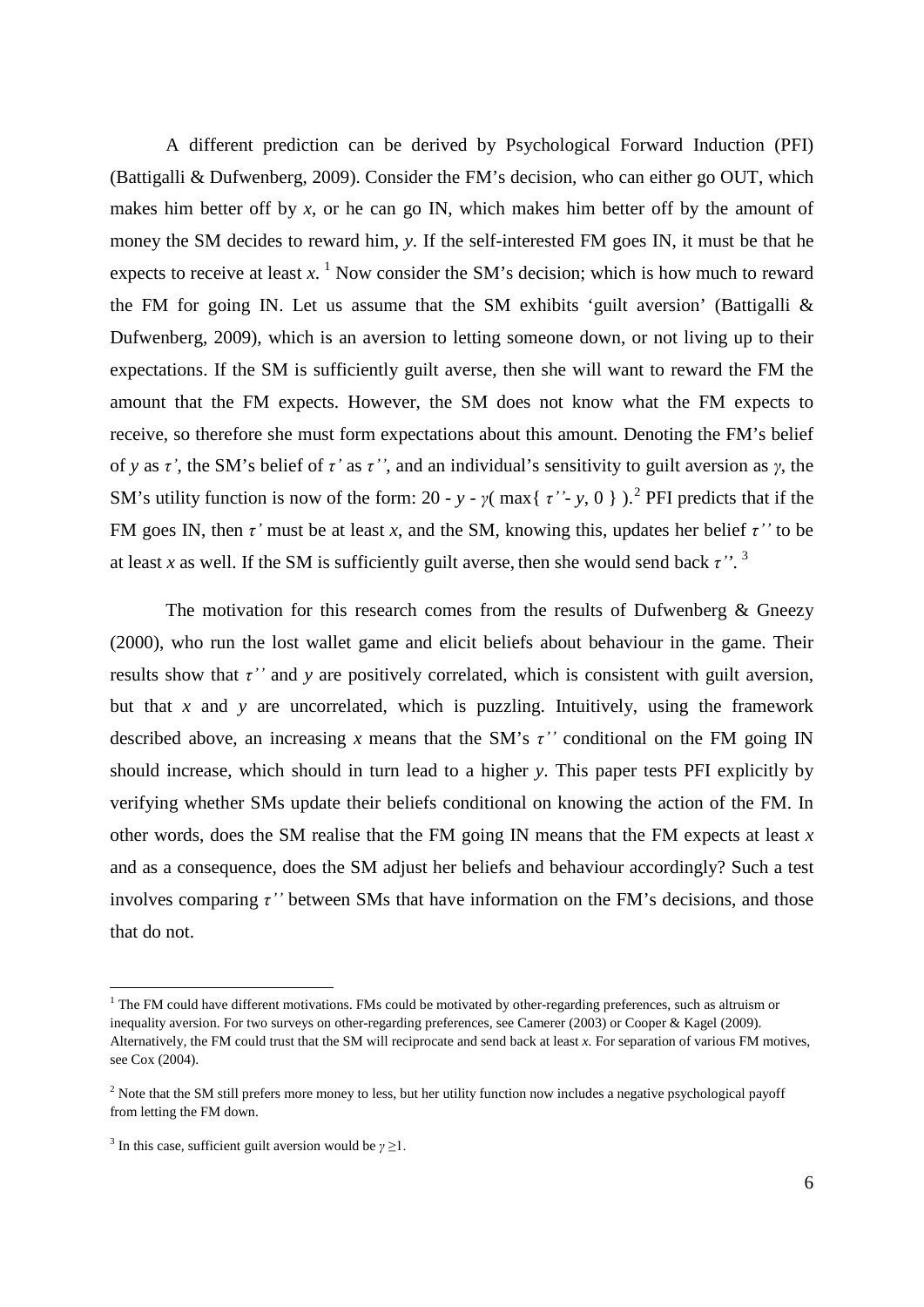A different prediction can be derived by Psychological Forward Induction (PFI) (Battigalli & Dufwenberg, 2009). Consider the FM's decision, who can either go OUT, which makes him better off by x, or he can go IN, which makes him better off by the amount of money the SM decides to reward him, *y*. If the self-interested FM goes IN, it must be that he expects to receive at least  $x<sup>1</sup>$  $x<sup>1</sup>$  $x<sup>1</sup>$  Now consider the SM's decision; which is how much to reward the FM for going IN. Let us assume that the SM exhibits 'guilt aversion' (Battigalli  $\&$ Dufwenberg, 2009), which is an aversion to letting someone down, or not living up to their expectations. If the SM is sufficiently guilt averse, then she will want to reward the FM the amount that the FM expects. However, the SM does not know what the FM expects to receive, so therefore she must form expectations about this amount*.* Denoting the FM's belief of *y* as *τ'*, the SM's belief of *τ'* as *τ''*, and an individual's sensitivity to guilt aversion as *γ*, the SM's utility function is now of the form: [2](#page-5-1)0 - *y* -  $\gamma$ ( max{ *τ'*- *y*, 0 } ).<sup>2</sup> PFI predicts that if the FM goes IN, then *τ'* must be at least *x*, and the SM, knowing this, updates her belief *τ''* to be at least *x* as well. If the SM is sufficiently guilt averse, then she would send back  $\tau$ <sup>". [3](#page-5-2)</sup>

The motivation for this research comes from the results of Dufwenberg  $\&$  Gneezy (2000), who run the lost wallet game and elicit beliefs about behaviour in the game. Their results show that *τ''* and *y* are positively correlated, which is consistent with guilt aversion, but that  $x$  and  $y$  are uncorrelated, which is puzzling. Intuitively, using the framework described above, an increasing *x* means that the SM's *τ''* conditional on the FM going IN should increase, which should in turn lead to a higher *y*. This paper tests PFI explicitly by verifying whether SMs update their beliefs conditional on knowing the action of the FM. In other words, does the SM realise that the FM going IN means that the FM expects at least *x* and as a consequence, does the SM adjust her beliefs and behaviour accordingly? Such a test involves comparing  $\tau$ <sup>"</sup> between SMs that have information on the FM's decisions, and those that do not.

<u>.</u>

<span id="page-5-0"></span> $<sup>1</sup>$  The FM could have different motivations. FMs could be motivated by other-regarding preferences, such as altruism or</sup> inequality aversion. For two surveys on other-regarding preferences, see Camerer (2003) or Cooper & Kagel (2009). Alternatively, the FM could trust that the SM will reciprocate and send back at least *x.* For separation of various FM motives, see Cox (2004).

<span id="page-5-1"></span><sup>&</sup>lt;sup>2</sup> Note that the SM still prefers more money to less, but her utility function now includes a negative psychological payoff from letting the FM down.

<span id="page-5-2"></span><sup>&</sup>lt;sup>3</sup> In this case, sufficient guilt aversion would be  $\gamma \geq 1$ .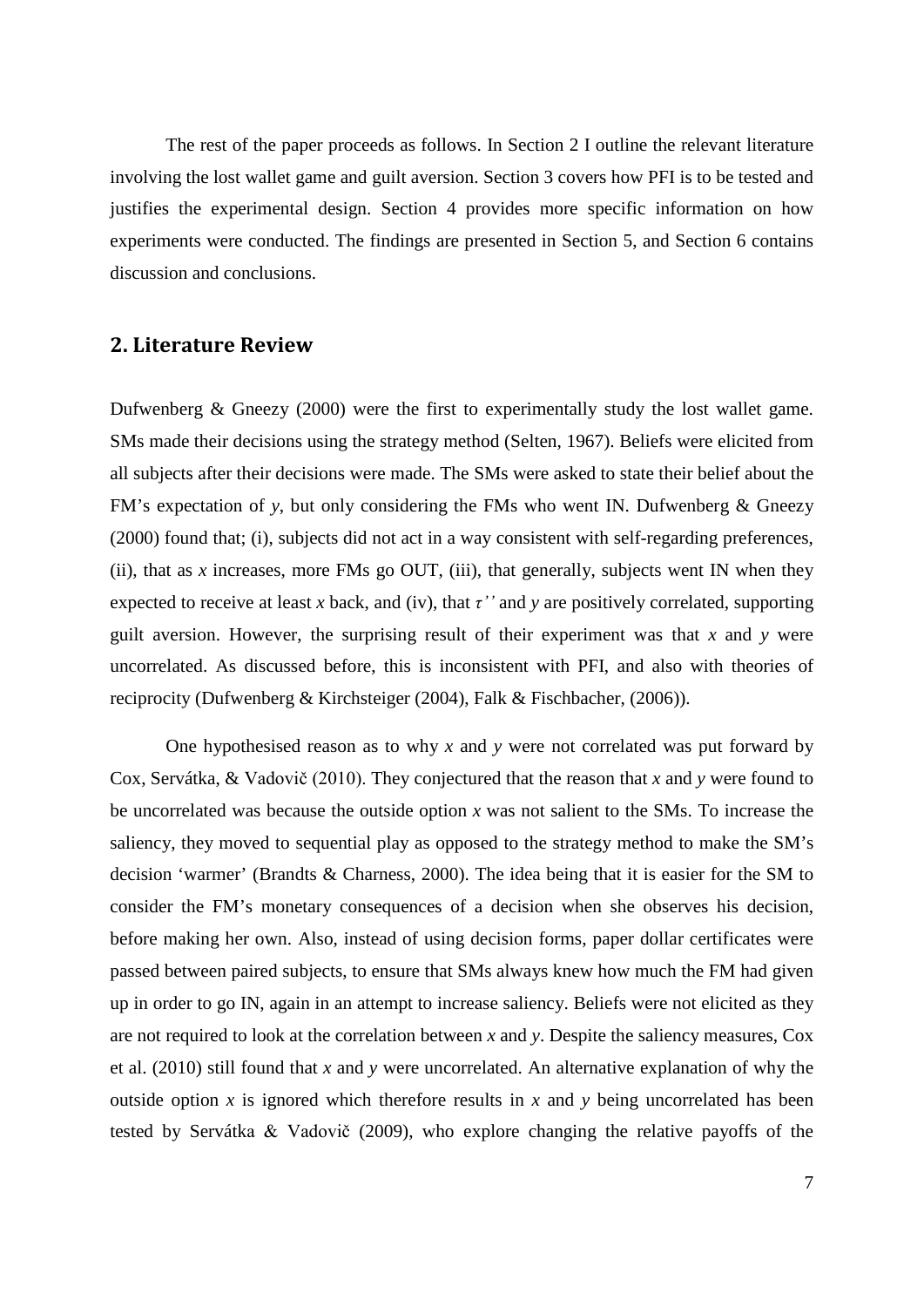The rest of the paper proceeds as follows. In Section 2 I outline the relevant literature involving the lost wallet game and guilt aversion. Section 3 covers how PFI is to be tested and justifies the experimental design. Section 4 provides more specific information on how experiments were conducted. The findings are presented in Section 5, and Section 6 contains discussion and conclusions.

# <span id="page-6-0"></span>**2. Literature Review**

Dufwenberg & Gneezy (2000) were the first to experimentally study the lost wallet game. SMs made their decisions using the strategy method (Selten, 1967). Beliefs were elicited from all subjects after their decisions were made. The SMs were asked to state their belief about the FM's expectation of *y*, but only considering the FMs who went IN. Dufwenberg & Gneezy (2000) found that; (i), subjects did not act in a way consistent with self-regarding preferences, (ii), that as *x* increases, more FMs go OUT, (iii), that generally, subjects went IN when they expected to receive at least *x* back, and (iv), that *τ''* and *y* are positively correlated, supporting guilt aversion. However, the surprising result of their experiment was that *x* and *y* were uncorrelated. As discussed before, this is inconsistent with PFI, and also with theories of reciprocity (Dufwenberg & Kirchsteiger (2004), Falk & Fischbacher, (2006)).

One hypothesised reason as to why *x* and *y* were not correlated was put forward by Cox, Servátka, & Vadovič (2010). They conjectured that the reason that *x* and *y* were found to be uncorrelated was because the outside option *x* was not salient to the SMs. To increase the saliency, they moved to sequential play as opposed to the strategy method to make the SM's decision 'warmer' (Brandts & Charness, 2000). The idea being that it is easier for the SM to consider the FM's monetary consequences of a decision when she observes his decision, before making her own. Also, instead of using decision forms, paper dollar certificates were passed between paired subjects, to ensure that SMs always knew how much the FM had given up in order to go IN, again in an attempt to increase saliency. Beliefs were not elicited as they are not required to look at the correlation between *x* and *y*. Despite the saliency measures, Cox et al. (2010) still found that *x* and *y* were uncorrelated. An alternative explanation of why the outside option *x* is ignored which therefore results in *x* and *y* being uncorrelated has been tested by Servátka & Vadovič (2009), who explore changing the relative payoffs of the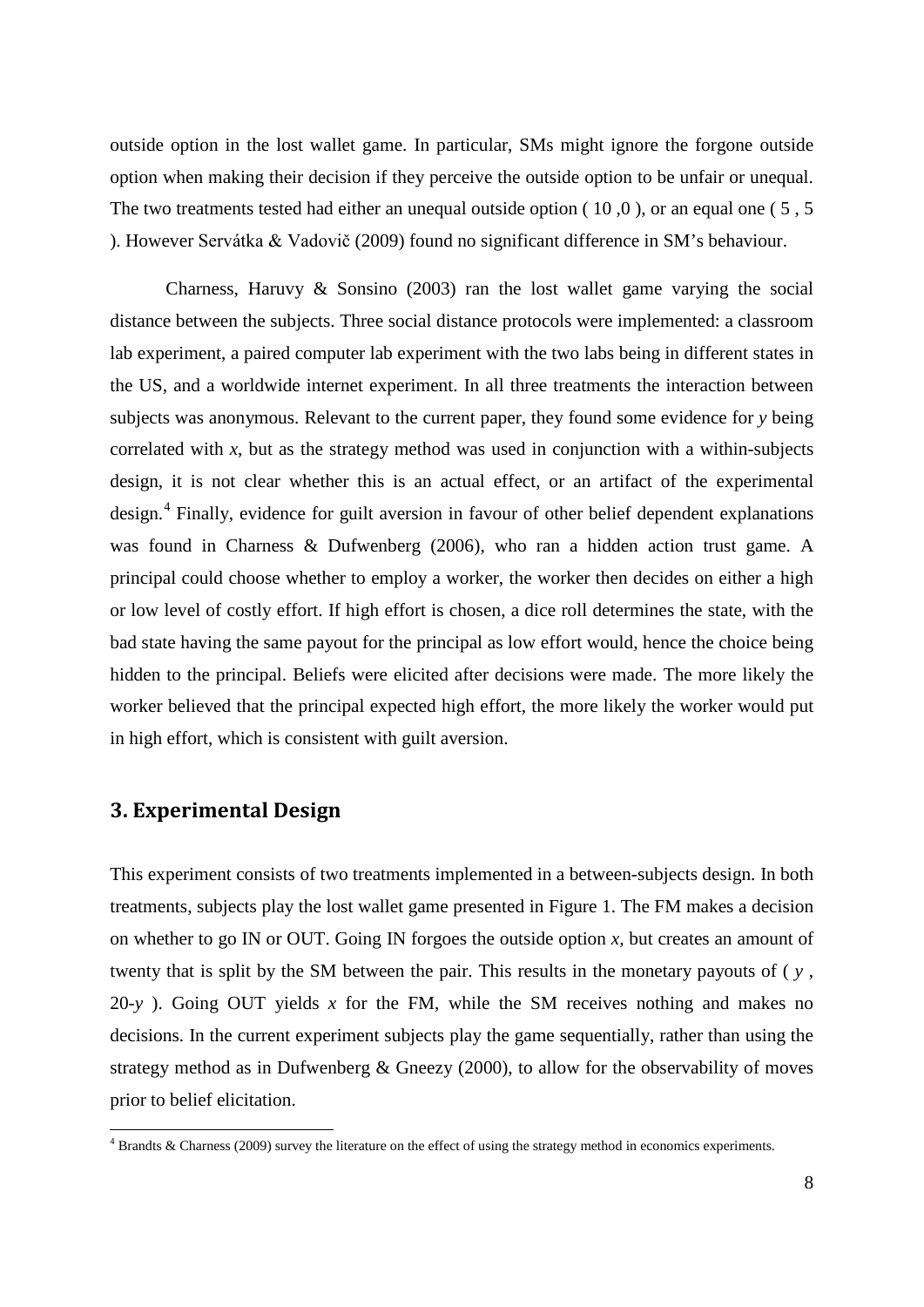outside option in the lost wallet game. In particular, SMs might ignore the forgone outside option when making their decision if they perceive the outside option to be unfair or unequal. The two treatments tested had either an unequal outside option (10,0), or an equal one (5,5) ). However Servátka & Vadovič (2009) found no significant difference in SM's behaviour.

Charness, Haruvy & Sonsino (2003) ran the lost wallet game varying the social distance between the subjects. Three social distance protocols were implemented: a classroom lab experiment, a paired computer lab experiment with the two labs being in different states in the US, and a worldwide internet experiment. In all three treatments the interaction between subjects was anonymous. Relevant to the current paper, they found some evidence for *y* being correlated with  $x$ , but as the strategy method was used in conjunction with a within-subjects design, it is not clear whether this is an actual effect, or an artifact of the experimental design.<sup>[4](#page-7-1)</sup> Finally, evidence for guilt aversion in favour of other belief dependent explanations was found in Charness & Dufwenberg (2006), who ran a hidden action trust game. A principal could choose whether to employ a worker, the worker then decides on either a high or low level of costly effort. If high effort is chosen, a dice roll determines the state, with the bad state having the same payout for the principal as low effort would, hence the choice being hidden to the principal. Beliefs were elicited after decisions were made. The more likely the worker believed that the principal expected high effort, the more likely the worker would put in high effort, which is consistent with guilt aversion.

# <span id="page-7-0"></span>**3. Experimental Design**

.<br>-

This experiment consists of two treatments implemented in a between-subjects design. In both treatments, subjects play the lost wallet game presented in Figure 1. The FM makes a decision on whether to go IN or OUT. Going IN forgoes the outside option *x,* but creates an amount of twenty that is split by the SM between the pair. This results in the monetary payouts of  $(y, y)$ , 20-*y* ). Going OUT yields *x* for the FM, while the SM receives nothing and makes no decisions. In the current experiment subjects play the game sequentially, rather than using the strategy method as in Dufwenberg & Gneezy (2000), to allow for the observability of moves prior to belief elicitation.

<span id="page-7-1"></span><sup>4</sup> Brandts & Charness (2009) survey the literature on the effect of using the strategy method in economics experiments.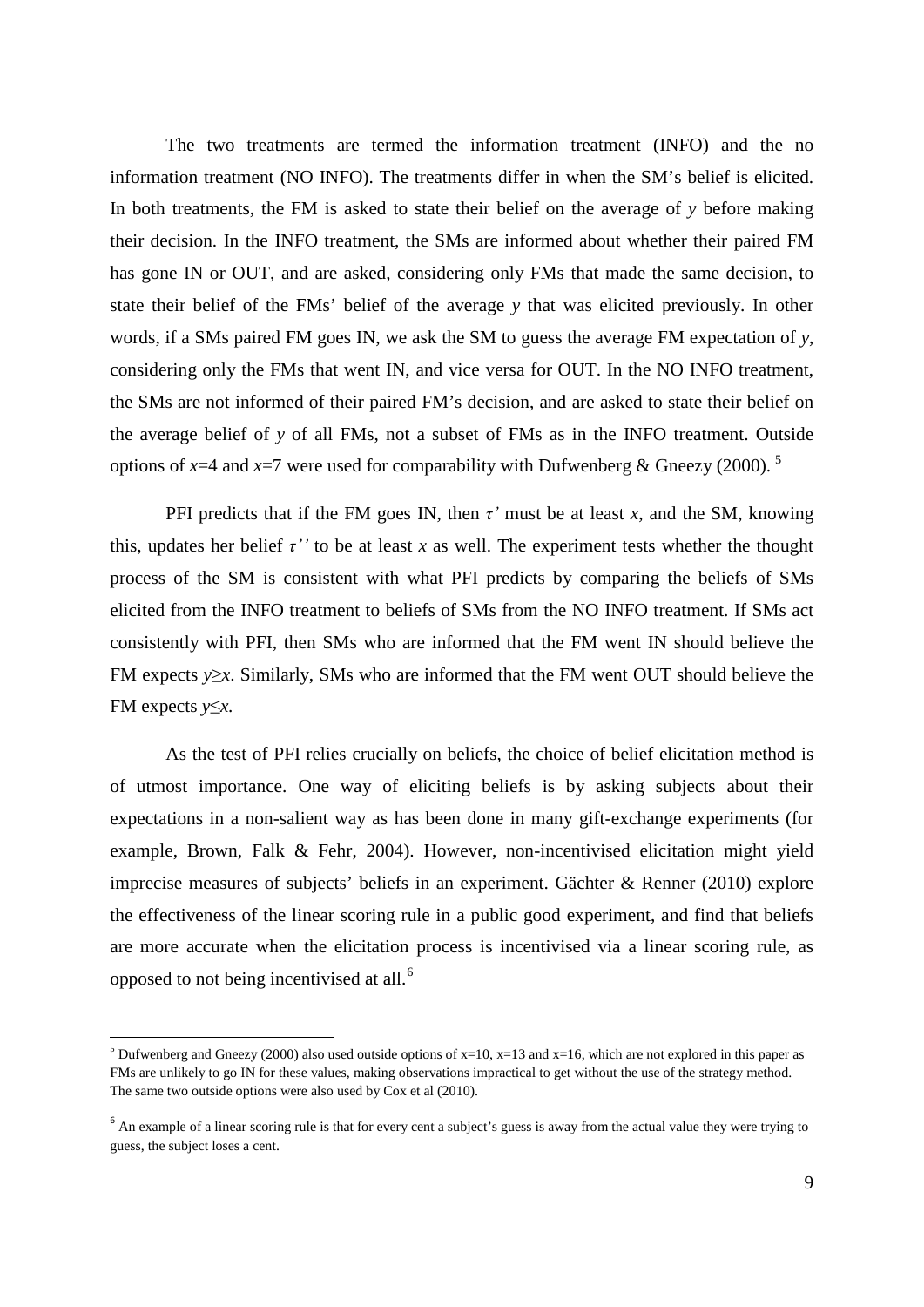The two treatments are termed the information treatment (INFO) and the no information treatment (NO INFO). The treatments differ in when the SM's belief is elicited. In both treatments, the FM is asked to state their belief on the average of *y* before making their decision. In the INFO treatment, the SMs are informed about whether their paired FM has gone IN or OUT, and are asked, considering only FMs that made the same decision, to state their belief of the FMs' belief of the average *y* that was elicited previously. In other words, if a SMs paired FM goes IN, we ask the SM to guess the average FM expectation of *y*, considering only the FMs that went IN, and vice versa for OUT. In the NO INFO treatment, the SMs are not informed of their paired FM's decision, and are asked to state their belief on the average belief of *y* of all FMs, not a subset of FMs as in the INFO treatment. Outside options of  $x=4$  and  $x=7$  were used for comparability with Dufwenberg & Gneezy (2000).<sup>[5](#page-8-0)</sup>

PFI predicts that if the FM goes IN, then  $\tau'$  must be at least  $x$ , and the SM, knowing this, updates her belief  $\tau''$  to be at least x as well. The experiment tests whether the thought process of the SM is consistent with what PFI predicts by comparing the beliefs of SMs elicited from the INFO treatment to beliefs of SMs from the NO INFO treatment. If SMs act consistently with PFI, then SMs who are informed that the FM went IN should believe the FM expects *y*≥*x*. Similarly, SMs who are informed that the FM went OUT should believe the FM expects *y*≤*x.*

As the test of PFI relies crucially on beliefs, the choice of belief elicitation method is of utmost importance. One way of eliciting beliefs is by asking subjects about their expectations in a non-salient way as has been done in many gift-exchange experiments (for example, Brown, Falk & Fehr, 2004). However, non-incentivised elicitation might yield imprecise measures of subjects' beliefs in an experiment. Gächter & Renner (2010) explore the effectiveness of the linear scoring rule in a public good experiment, and find that beliefs are more accurate when the elicitation process is incentivised via a linear scoring rule, as opposed to not being incentivised at all.[6](#page-8-1)

<u>.</u>

<span id="page-8-0"></span><sup>&</sup>lt;sup>5</sup> Dufwenberg and Gneezy (2000) also used outside options of  $x=10$ ,  $x=13$  and  $x=16$ , which are not explored in this paper as FMs are unlikely to go IN for these values, making observations impractical to get without the use of the strategy method. The same two outside options were also used by Cox et al (2010).

<span id="page-8-1"></span><sup>&</sup>lt;sup>6</sup> An example of a linear scoring rule is that for every cent a subject's guess is away from the actual value they were trying to guess, the subject loses a cent.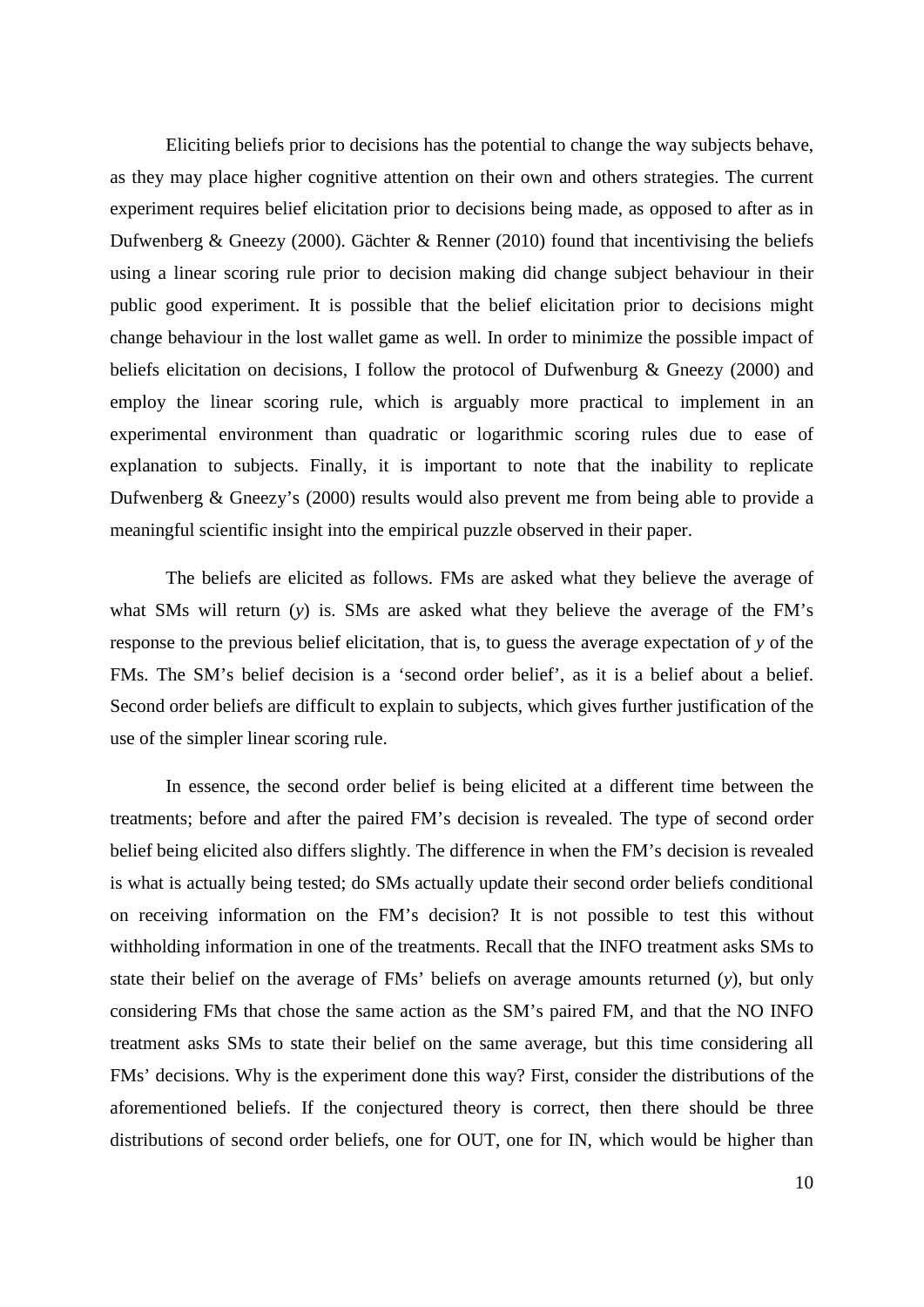Eliciting beliefs prior to decisions has the potential to change the way subjects behave, as they may place higher cognitive attention on their own and others strategies. The current experiment requires belief elicitation prior to decisions being made, as opposed to after as in Dufwenberg & Gneezy (2000). Gächter & Renner (2010) found that incentivising the beliefs using a linear scoring rule prior to decision making did change subject behaviour in their public good experiment. It is possible that the belief elicitation prior to decisions might change behaviour in the lost wallet game as well. In order to minimize the possible impact of beliefs elicitation on decisions, I follow the protocol of Dufwenburg & Gneezy (2000) and employ the linear scoring rule, which is arguably more practical to implement in an experimental environment than quadratic or logarithmic scoring rules due to ease of explanation to subjects. Finally, it is important to note that the inability to replicate Dufwenberg & Gneezy's (2000) results would also prevent me from being able to provide a meaningful scientific insight into the empirical puzzle observed in their paper.

The beliefs are elicited as follows. FMs are asked what they believe the average of what SMs will return (*y*) is. SMs are asked what they believe the average of the FM's response to the previous belief elicitation, that is, to guess the average expectation of *y* of the FMs. The SM's belief decision is a 'second order belief', as it is a belief about a belief. Second order beliefs are difficult to explain to subjects, which gives further justification of the use of the simpler linear scoring rule.

In essence, the second order belief is being elicited at a different time between the treatments; before and after the paired FM's decision is revealed. The type of second order belief being elicited also differs slightly. The difference in when the FM's decision is revealed is what is actually being tested; do SMs actually update their second order beliefs conditional on receiving information on the FM's decision? It is not possible to test this without withholding information in one of the treatments. Recall that the INFO treatment asks SMs to state their belief on the average of FMs' beliefs on average amounts returned (*y*), but only considering FMs that chose the same action as the SM's paired FM, and that the NO INFO treatment asks SMs to state their belief on the same average, but this time considering all FMs' decisions. Why is the experiment done this way? First, consider the distributions of the aforementioned beliefs. If the conjectured theory is correct, then there should be three distributions of second order beliefs, one for OUT, one for IN, which would be higher than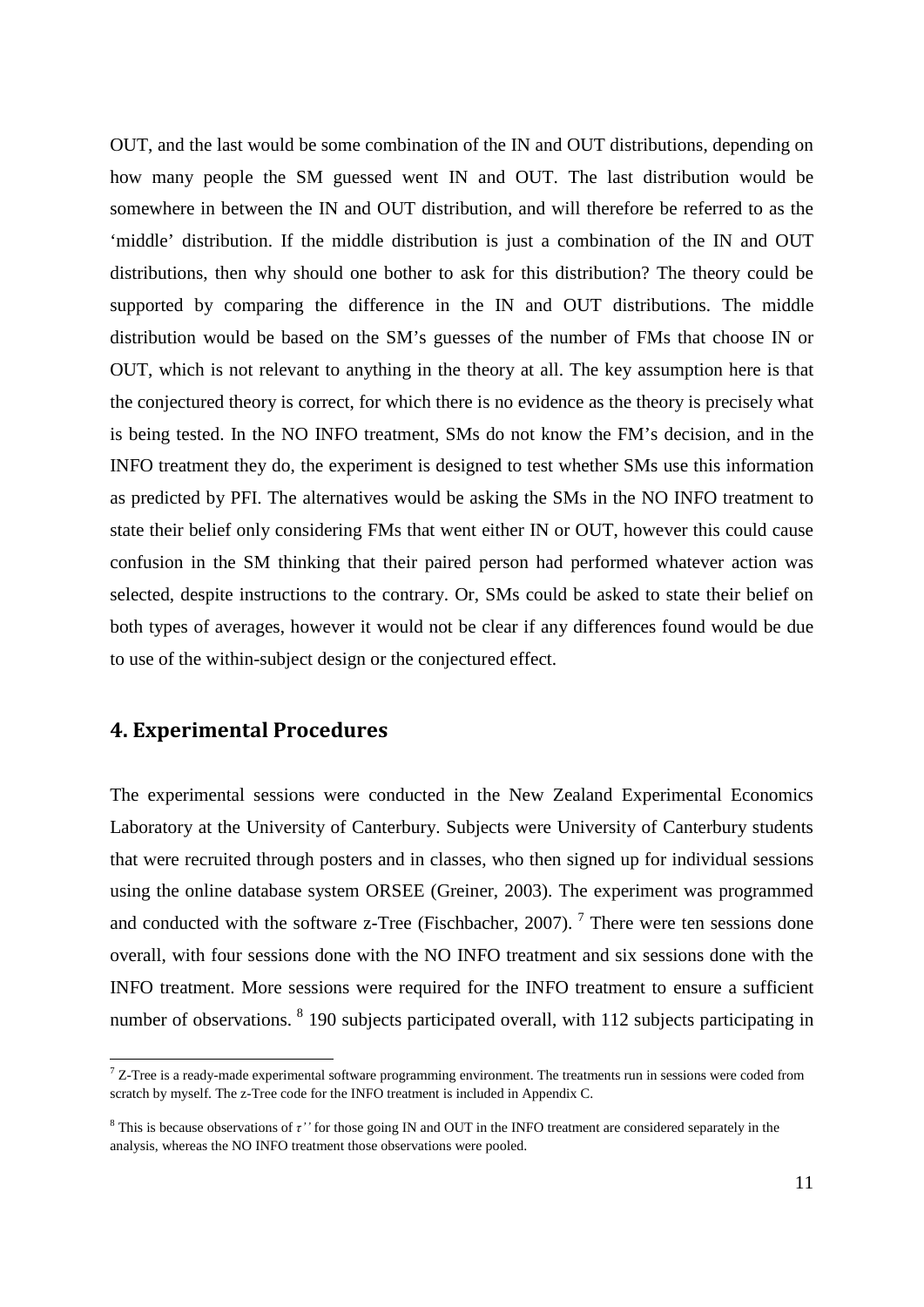OUT, and the last would be some combination of the IN and OUT distributions, depending on how many people the SM guessed went IN and OUT. The last distribution would be somewhere in between the IN and OUT distribution, and will therefore be referred to as the 'middle' distribution. If the middle distribution is just a combination of the IN and OUT distributions, then why should one bother to ask for this distribution? The theory could be supported by comparing the difference in the IN and OUT distributions. The middle distribution would be based on the SM's guesses of the number of FMs that choose IN or OUT, which is not relevant to anything in the theory at all. The key assumption here is that the conjectured theory is correct, for which there is no evidence as the theory is precisely what is being tested. In the NO INFO treatment, SMs do not know the FM's decision, and in the INFO treatment they do, the experiment is designed to test whether SMs use this information as predicted by PFI. The alternatives would be asking the SMs in the NO INFO treatment to state their belief only considering FMs that went either IN or OUT, however this could cause confusion in the SM thinking that their paired person had performed whatever action was selected, despite instructions to the contrary. Or, SMs could be asked to state their belief on both types of averages, however it would not be clear if any differences found would be due to use of the within-subject design or the conjectured effect.

# <span id="page-10-0"></span>**4. Experimental Procedures**

<u>.</u>

The experimental sessions were conducted in the New Zealand Experimental Economics Laboratory at the University of Canterbury. Subjects were University of Canterbury students that were recruited through posters and in classes, who then signed up for individual sessions using the online database system ORSEE (Greiner, 2003). The experiment was programmed and conducted with the software z-Tree (Fischbacher, 200[7](#page-10-1)).<sup>7</sup> There were ten sessions done overall, with four sessions done with the NO INFO treatment and six sessions done with the INFO treatment. More sessions were required for the INFO treatment to ensure a sufficient number of observations. <sup>[8](#page-10-2)</sup> 190 subjects participated overall, with 112 subjects participating in

<span id="page-10-1"></span> $7$  Z-Tree is a ready-made experimental software programming environment. The treatments run in sessions were coded from scratch by myself. The z-Tree code for the INFO treatment is included in Appendix C.

<span id="page-10-2"></span><sup>8</sup> This is because observations of *τ''* for those going IN and OUT in the INFO treatment are considered separately in the analysis, whereas the NO INFO treatment those observations were pooled.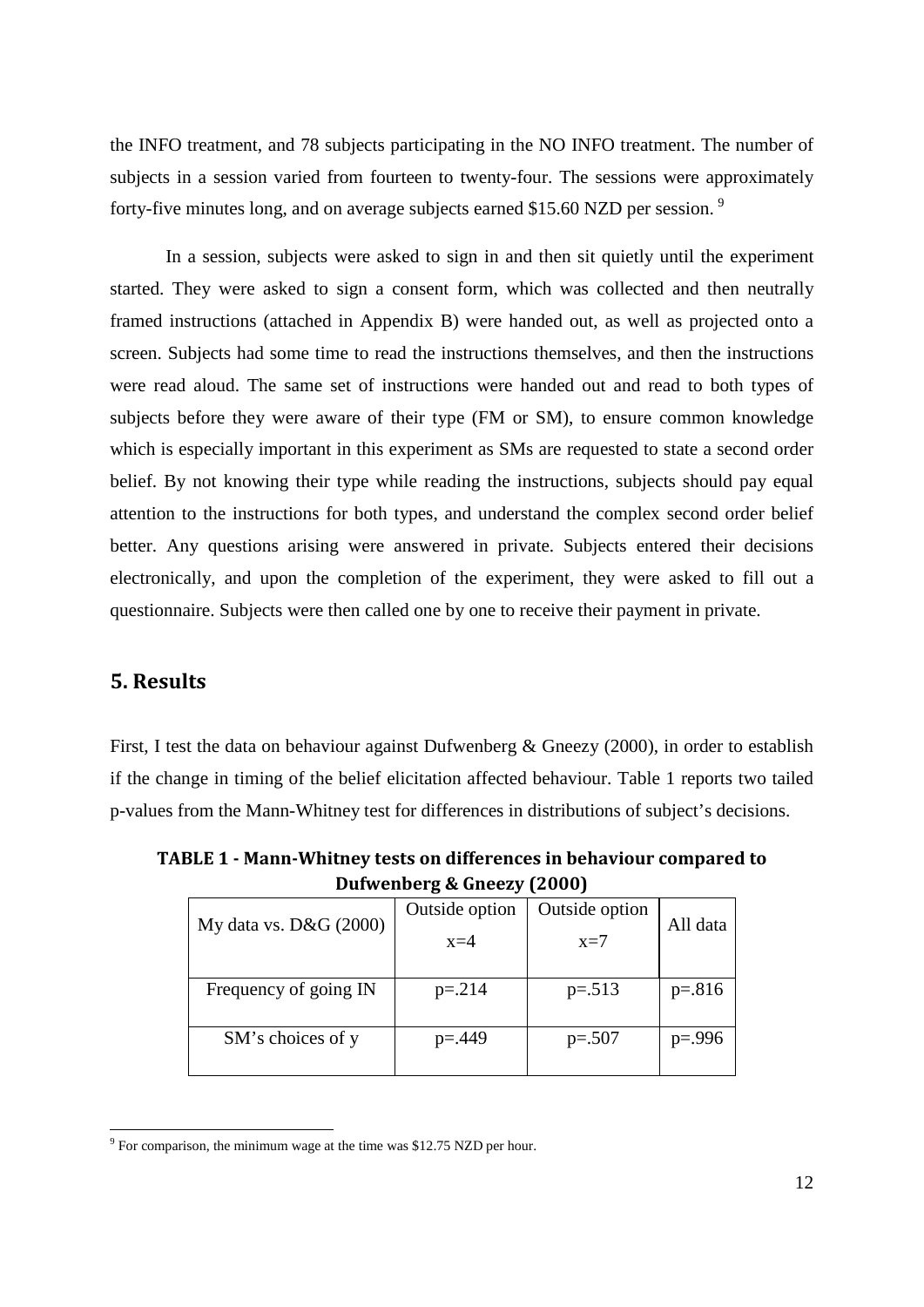the INFO treatment, and 78 subjects participating in the NO INFO treatment. The number of subjects in a session varied from fourteen to twenty-four. The sessions were approximately forty-five minutes long, and on average subjects earned \$15.60 NZD per session.<sup>[9](#page-11-2)</sup>

In a session, subjects were asked to sign in and then sit quietly until the experiment started. They were asked to sign a consent form, which was collected and then neutrally framed instructions (attached in Appendix B) were handed out, as well as projected onto a screen. Subjects had some time to read the instructions themselves, and then the instructions were read aloud. The same set of instructions were handed out and read to both types of subjects before they were aware of their type (FM or SM), to ensure common knowledge which is especially important in this experiment as SMs are requested to state a second order belief. By not knowing their type while reading the instructions, subjects should pay equal attention to the instructions for both types, and understand the complex second order belief better. Any questions arising were answered in private. Subjects entered their decisions electronically, and upon the completion of the experiment, they were asked to fill out a questionnaire. Subjects were then called one by one to receive their payment in private.

# <span id="page-11-0"></span>**5. Results**

.<br>-

First, I test the data on behaviour against Dufwenberg & Gneezy (2000), in order to establish if the change in timing of the belief elicitation affected behaviour. Table 1 reports two tailed p-values from the Mann-Whitney test for differences in distributions of subject's decisions.

| $P$ and choose $\alpha$ and car $\alpha$ and $\alpha$ |                |                |            |  |  |  |  |  |
|-------------------------------------------------------|----------------|----------------|------------|--|--|--|--|--|
| My data vs. D&G (2000)                                | Outside option | Outside option | All data   |  |  |  |  |  |
|                                                       | $x=4$          | $x=7$          |            |  |  |  |  |  |
| Frequency of going IN                                 | $p = 214$      | $p=.513$       | $p=.816$   |  |  |  |  |  |
| SM's choices of y                                     | $p = 449$      | $p=.507$       | $p = .996$ |  |  |  |  |  |

<span id="page-11-1"></span>**TABLE 1 - Mann-Whitney tests on differences in behaviour compared to Dufwenberg & Gneezy (2000)**

<span id="page-11-2"></span> $9^9$  For comparison, the minimum wage at the time was \$12.75 NZD per hour.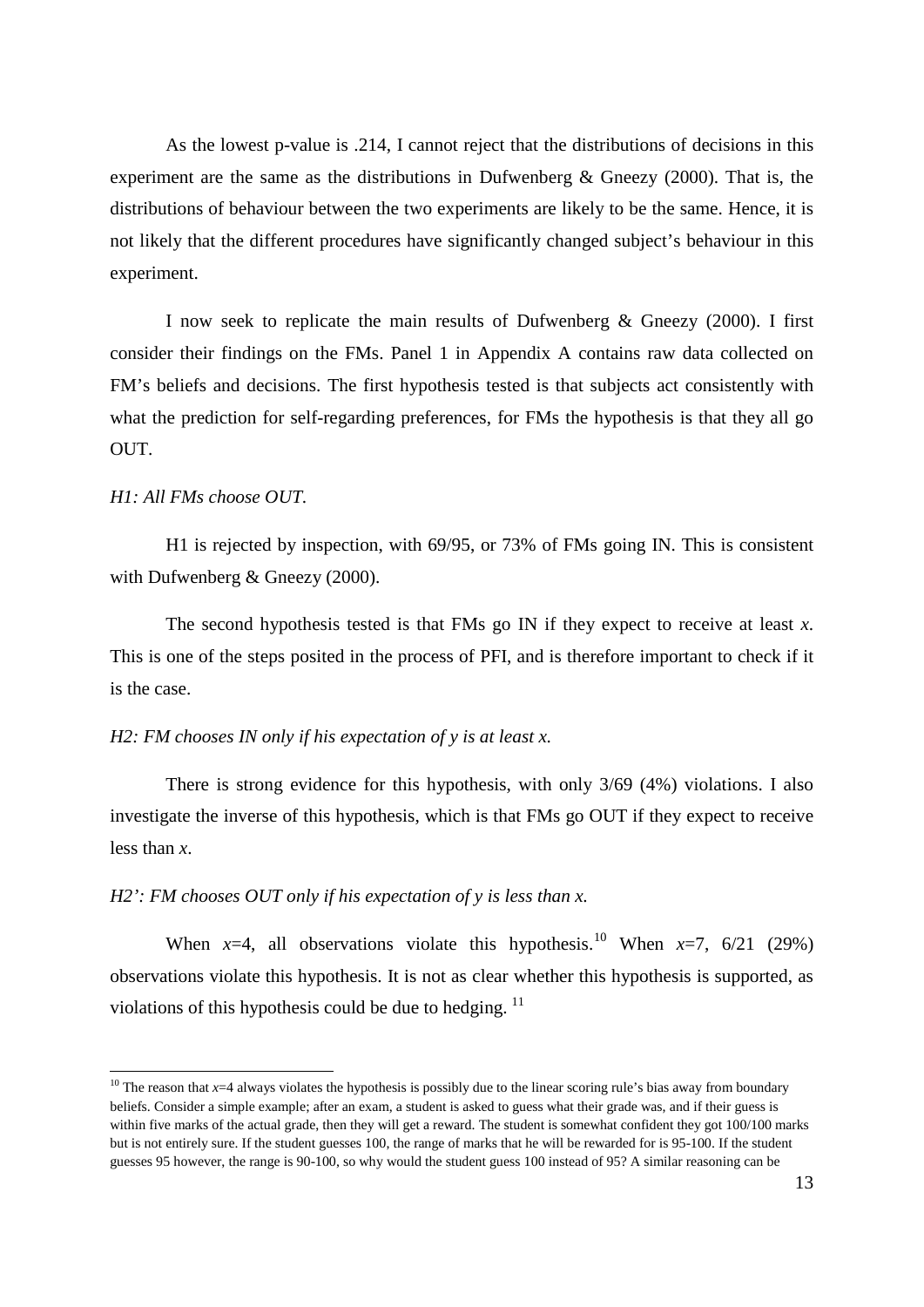As the lowest p-value is .214, I cannot reject that the distributions of decisions in this experiment are the same as the distributions in Dufwenberg & Gneezy (2000). That is, the distributions of behaviour between the two experiments are likely to be the same. Hence, it is not likely that the different procedures have significantly changed subject's behaviour in this experiment.

I now seek to replicate the main results of Dufwenberg & Gneezy (2000). I first consider their findings on the FMs. Panel 1 in Appendix A contains raw data collected on FM's beliefs and decisions. The first hypothesis tested is that subjects act consistently with what the prediction for self-regarding preferences, for FMs the hypothesis is that they all go OUT.

## *H1: All FMs choose OUT.*

.<br>-

H1 is rejected by inspection, with 69/95, or 73% of FMs going IN. This is consistent with Dufwenberg & Gneezy (2000).

The second hypothesis tested is that FMs go IN if they expect to receive at least *x*. This is one of the steps posited in the process of PFI, and is therefore important to check if it is the case.

#### *H2: FM chooses IN only if his expectation of y is at least x.*

There is strong evidence for this hypothesis, with only 3/69 (4%) violations. I also investigate the inverse of this hypothesis, which is that FMs go OUT if they expect to receive less than *x*.

# *H2': FM chooses OUT only if his expectation of y is less than x.*

When  $x=4$ , all observations violate this hypothesis.<sup>[10](#page-12-0)</sup> When  $x=7$ , 6/21 (29%) observations violate this hypothesis. It is not as clear whether this hypothesis is supported, as violations of this hypothesis could be due to hedging.  $^{11}$  $^{11}$  $^{11}$ 

<span id="page-12-1"></span><span id="page-12-0"></span><sup>&</sup>lt;sup>10</sup> The reason that  $x=4$  always violates the hypothesis is possibly due to the linear scoring rule's bias away from boundary beliefs. Consider a simple example; after an exam, a student is asked to guess what their grade was, and if their guess is within five marks of the actual grade, then they will get a reward. The student is somewhat confident they got 100/100 marks but is not entirely sure. If the student guesses 100, the range of marks that he will be rewarded for is 95-100. If the student guesses 95 however, the range is 90-100, so why would the student guess 100 instead of 95? A similar reasoning can be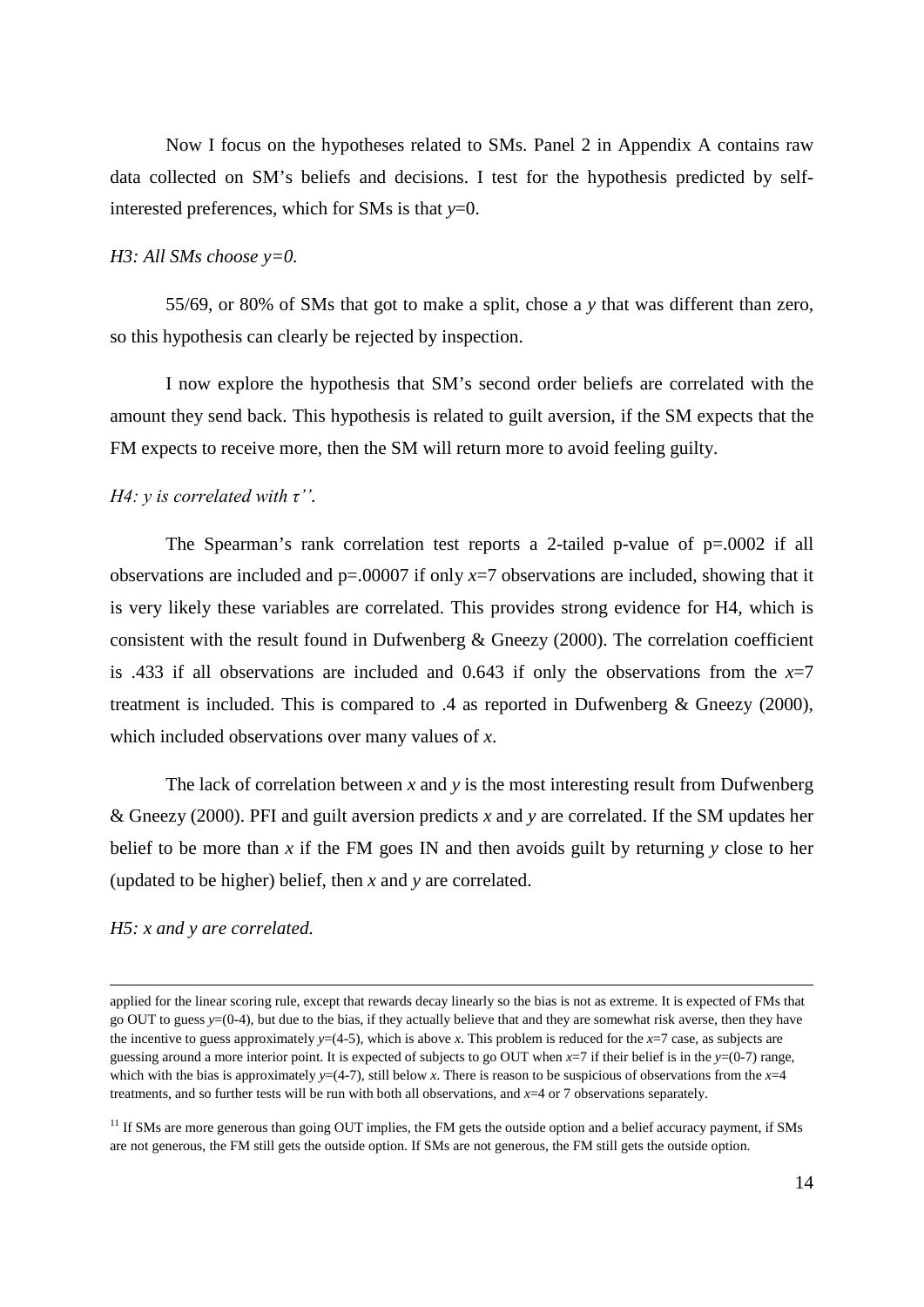Now I focus on the hypotheses related to SMs. Panel 2 in Appendix A contains raw data collected on SM's beliefs and decisions. I test for the hypothesis predicted by selfinterested preferences, which for SMs is that *y*=0.

#### *H3: All SMs choose y=0.*

55/69, or 80% of SMs that got to make a split, chose a *y* that was different than zero, so this hypothesis can clearly be rejected by inspection.

I now explore the hypothesis that SM's second order beliefs are correlated with the amount they send back. This hypothesis is related to guilt aversion, if the SM expects that the FM expects to receive more, then the SM will return more to avoid feeling guilty.

## *H4: y is correlated with τ''.*

The Spearman's rank correlation test reports a 2-tailed p-value of p=.0002 if all observations are included and  $p=0.0007$  if only  $x=7$  observations are included, showing that it is very likely these variables are correlated. This provides strong evidence for H4, which is consistent with the result found in Dufwenberg & Gneezy (2000). The correlation coefficient is .433 if all observations are included and 0.643 if only the observations from the  $x=7$ treatment is included. This is compared to .4 as reported in Dufwenberg & Gneezy (2000), which included observations over many values of *x*.

The lack of correlation between  $x$  and  $y$  is the most interesting result from Dufwenberg & Gneezy (2000). PFI and guilt aversion predicts *x* and *y* are correlated. If the SM updates her belief to be more than *x* if the FM goes IN and then avoids guilt by returning *y* close to her (updated to be higher) belief, then *x* and *y* are correlated.

#### *H5: x and y are correlated.*

.

applied for the linear scoring rule, except that rewards decay linearly so the bias is not as extreme. It is expected of FMs that go OUT to guess *y*=(0-4), but due to the bias, if they actually believe that and they are somewhat risk averse, then they have the incentive to guess approximately  $y=(4-5)$ , which is above *x*. This problem is reduced for the *x*=7 case, as subjects are guessing around a more interior point. It is expected of subjects to go OUT when *x*=7 if their belief is in the *y*=(0-7) range, which with the bias is approximately  $y=(4-7)$ , still below *x*. There is reason to be suspicious of observations from the  $x=4$ treatments, and so further tests will be run with both all observations, and *x*=4 or 7 observations separately.

 $11$  If SMs are more generous than going OUT implies, the FM gets the outside option and a belief accuracy payment, if SMs are not generous, the FM still gets the outside option. If SMs are not generous, the FM still gets the outside option.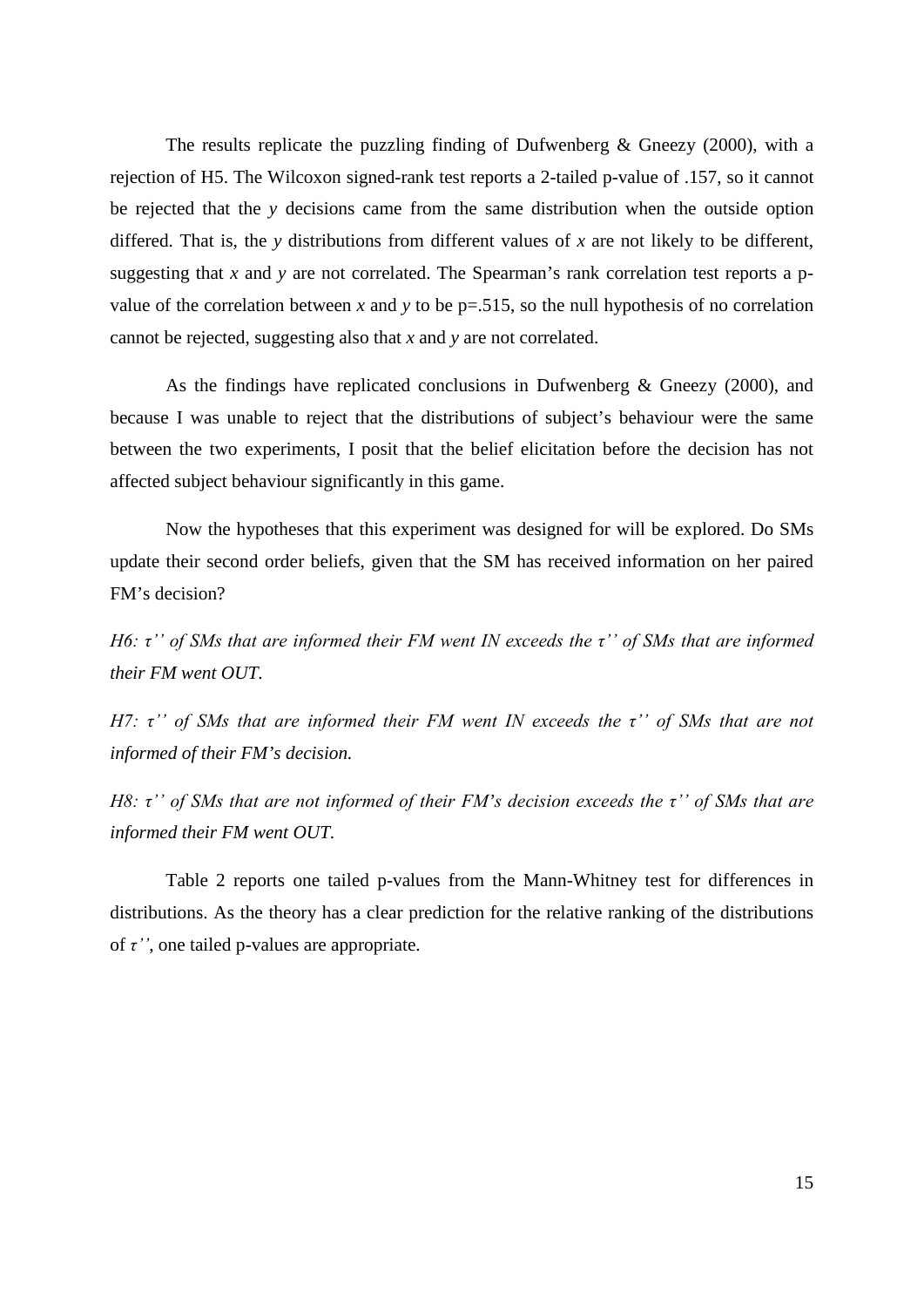The results replicate the puzzling finding of Dufwenberg  $\&$  Gneezy (2000), with a rejection of H5. The Wilcoxon signed-rank test reports a 2-tailed p-value of .157, so it cannot be rejected that the *y* decisions came from the same distribution when the outside option differed. That is, the *y* distributions from different values of *x* are not likely to be different, suggesting that *x* and *y* are not correlated. The Spearman's rank correlation test reports a pvalue of the correlation between *x* and *y* to be  $p=0.515$ , so the null hypothesis of no correlation cannot be rejected, suggesting also that *x* and *y* are not correlated.

As the findings have replicated conclusions in Dufwenberg & Gneezy (2000), and because I was unable to reject that the distributions of subject's behaviour were the same between the two experiments, I posit that the belief elicitation before the decision has not affected subject behaviour significantly in this game.

Now the hypotheses that this experiment was designed for will be explored. Do SMs update their second order beliefs, given that the SM has received information on her paired FM's decision?

*H6: τ'' of SMs that are informed their FM went IN exceeds the τ'' of SMs that are informed their FM went OUT.*

*H7: τ'' of SMs that are informed their FM went IN exceeds the τ'' of SMs that are not informed of their FM's decision.*

*H8: τ'' of SMs that are not informed of their FM's decision exceeds the τ'' of SMs that are informed their FM went OUT.*

Table 2 reports one tailed p-values from the Mann-Whitney test for differences in distributions. As the theory has a clear prediction for the relative ranking of the distributions of *τ''*, one tailed p-values are appropriate.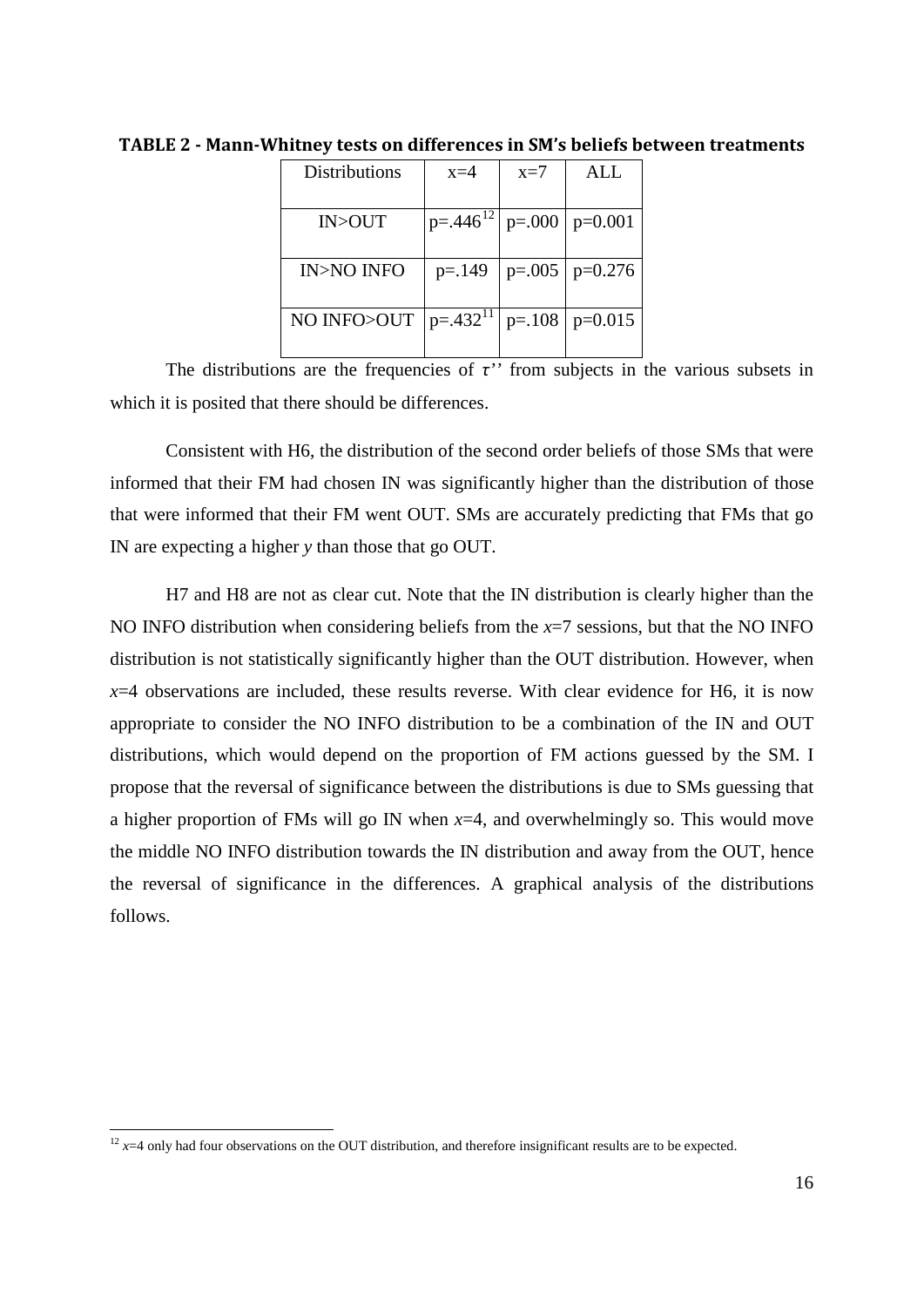| Distributions        | $x=4$         | $x=7$     | ALL.      |
|----------------------|---------------|-----------|-----------|
|                      |               |           |           |
| IN>OUT               | $p=.446^{12}$ | $p=.000$  | $p=0.001$ |
|                      |               |           |           |
| <b>IN&gt;NO INFO</b> | $p = 149$     | $p=.005$  | $p=0.276$ |
|                      |               |           |           |
| NO INFO>OUT          | $p=.432^{11}$ | $p = 108$ | $p=0.015$ |
|                      |               |           |           |

<span id="page-15-0"></span>**TABLE 2 - Mann-Whitney tests on differences in SM's beliefs between treatments**

The distributions are the frequencies of  $\tau$ <sup>*''*</sup> from subjects in the various subsets in which it is posited that there should be differences.

Consistent with H6, the distribution of the second order beliefs of those SMs that were informed that their FM had chosen IN was significantly higher than the distribution of those that were informed that their FM went OUT. SMs are accurately predicting that FMs that go IN are expecting a higher *y* than those that go OUT.

H7 and H8 are not as clear cut. Note that the IN distribution is clearly higher than the NO INFO distribution when considering beliefs from the *x*=7 sessions, but that the NO INFO distribution is not statistically significantly higher than the OUT distribution. However, when  $x=4$  observations are included, these results reverse. With clear evidence for H6, it is now appropriate to consider the NO INFO distribution to be a combination of the IN and OUT distributions, which would depend on the proportion of FM actions guessed by the SM. I propose that the reversal of significance between the distributions is due to SMs guessing that a higher proportion of FMs will go IN when *x*=4, and overwhelmingly so. This would move the middle NO INFO distribution towards the IN distribution and away from the OUT, hence the reversal of significance in the differences. A graphical analysis of the distributions follows.

.<br>-

<span id="page-15-1"></span> $12 x=4$  only had four observations on the OUT distribution, and therefore insignificant results are to be expected.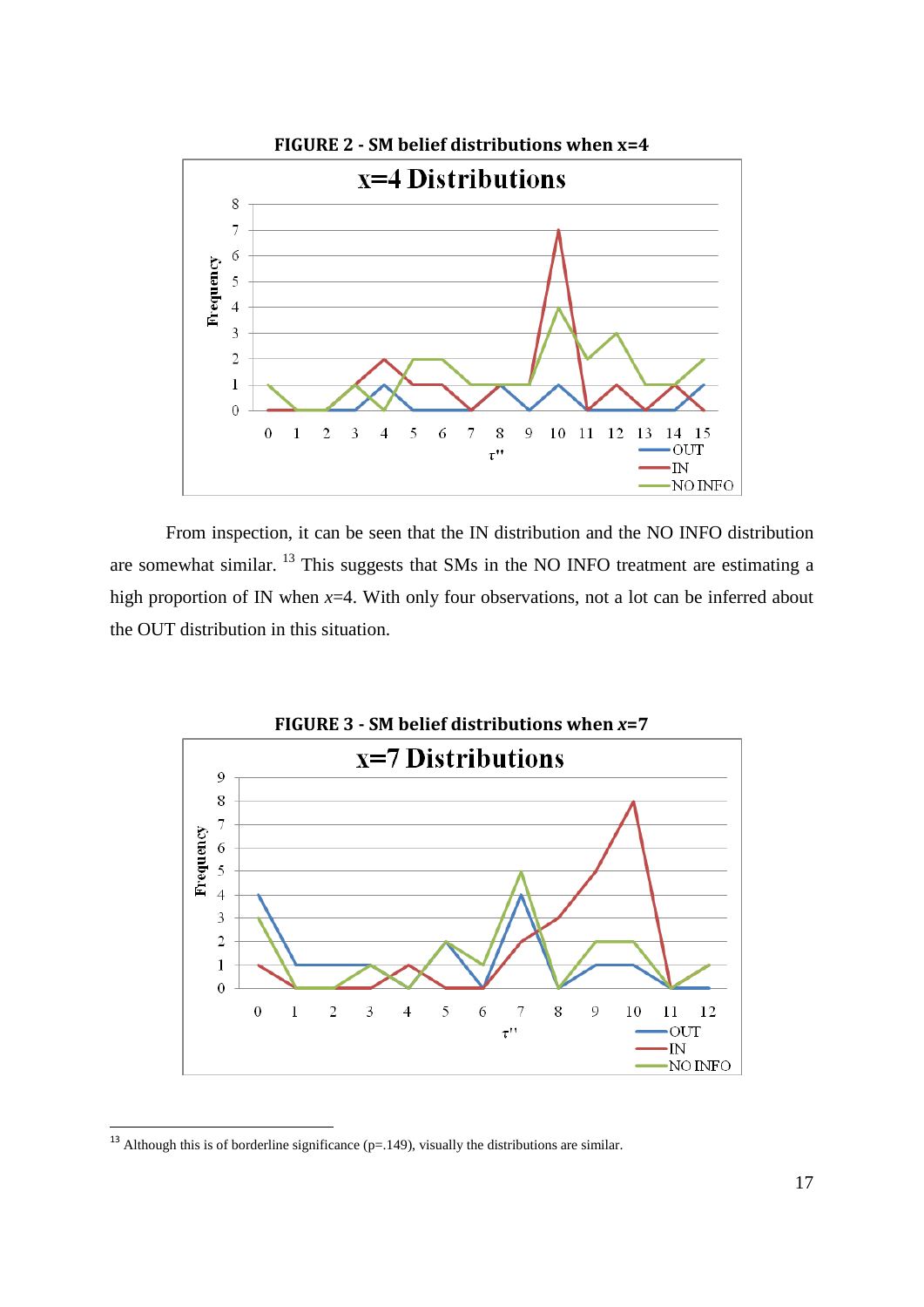<span id="page-16-0"></span>

From inspection, it can be seen that the IN distribution and the NO INFO distribution are somewhat similar. [13](#page-16-2) This suggests that SMs in the NO INFO treatment are estimating a high proportion of IN when *x*=4. With only four observations, not a lot can be inferred about the OUT distribution in this situation.

<span id="page-16-1"></span>

<span id="page-16-2"></span><sup>&</sup>lt;sup>13</sup> Although this is of borderline significance ( $p=149$ ), visually the distributions are similar.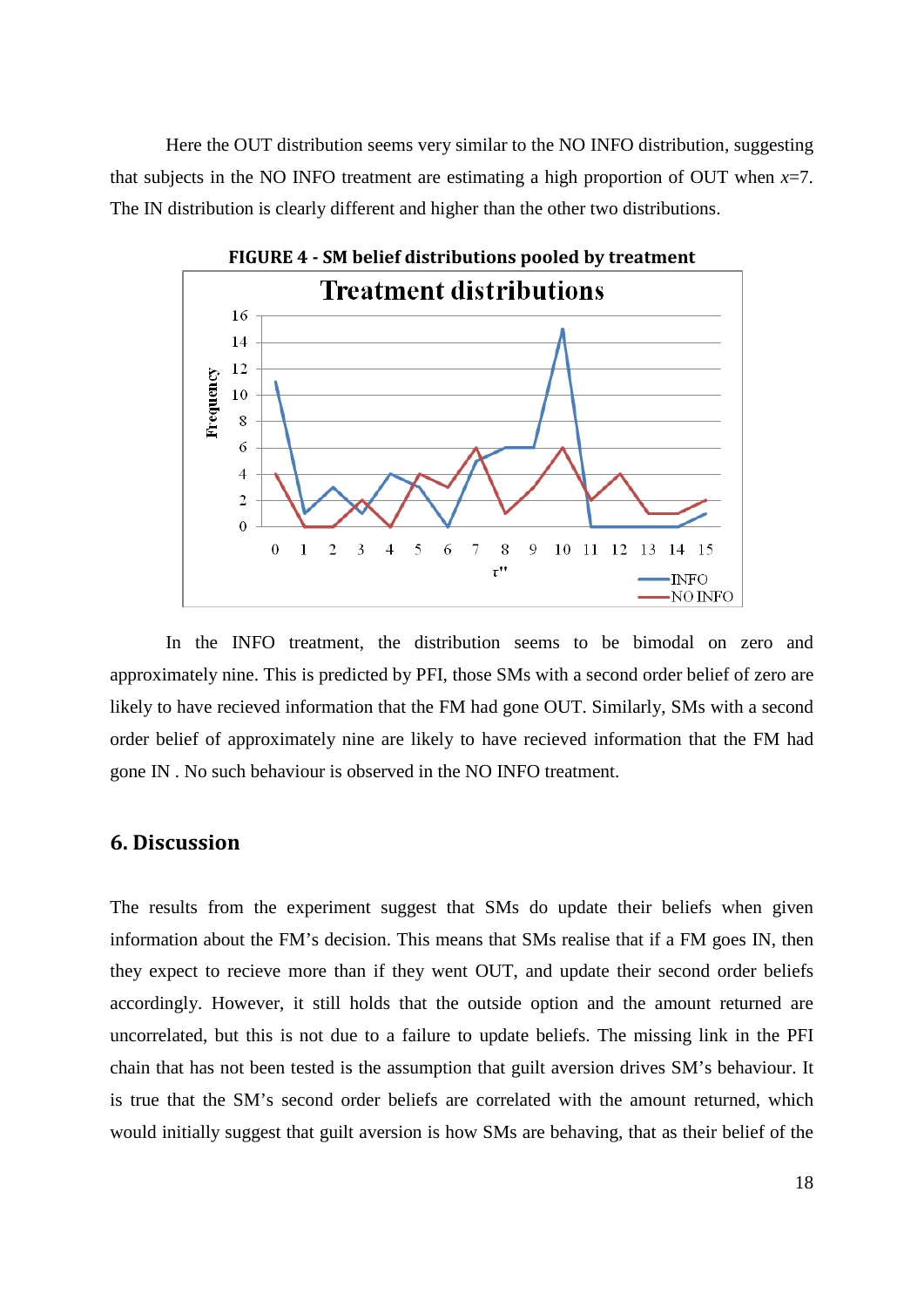Here the OUT distribution seems very similar to the NO INFO distribution, suggesting that subjects in the NO INFO treatment are estimating a high proportion of OUT when  $x=7$ . The IN distribution is clearly different and higher than the other two distributions.

<span id="page-17-0"></span>

In the INFO treatment, the distribution seems to be bimodal on zero and approximately nine. This is predicted by PFI, those SMs with a second order belief of zero are likely to have recieved information that the FM had gone OUT. Similarly, SMs with a second order belief of approximately nine are likely to have recieved information that the FM had gone IN . No such behaviour is observed in the NO INFO treatment.

# <span id="page-17-1"></span>**6. Discussion**

The results from the experiment suggest that SMs do update their beliefs when given information about the FM's decision. This means that SMs realise that if a FM goes IN, then they expect to recieve more than if they went OUT, and update their second order beliefs accordingly. However, it still holds that the outside option and the amount returned are uncorrelated, but this is not due to a failure to update beliefs. The missing link in the PFI chain that has not been tested is the assumption that guilt aversion drives SM's behaviour. It is true that the SM's second order beliefs are correlated with the amount returned, which would initially suggest that guilt aversion is how SMs are behaving, that as their belief of the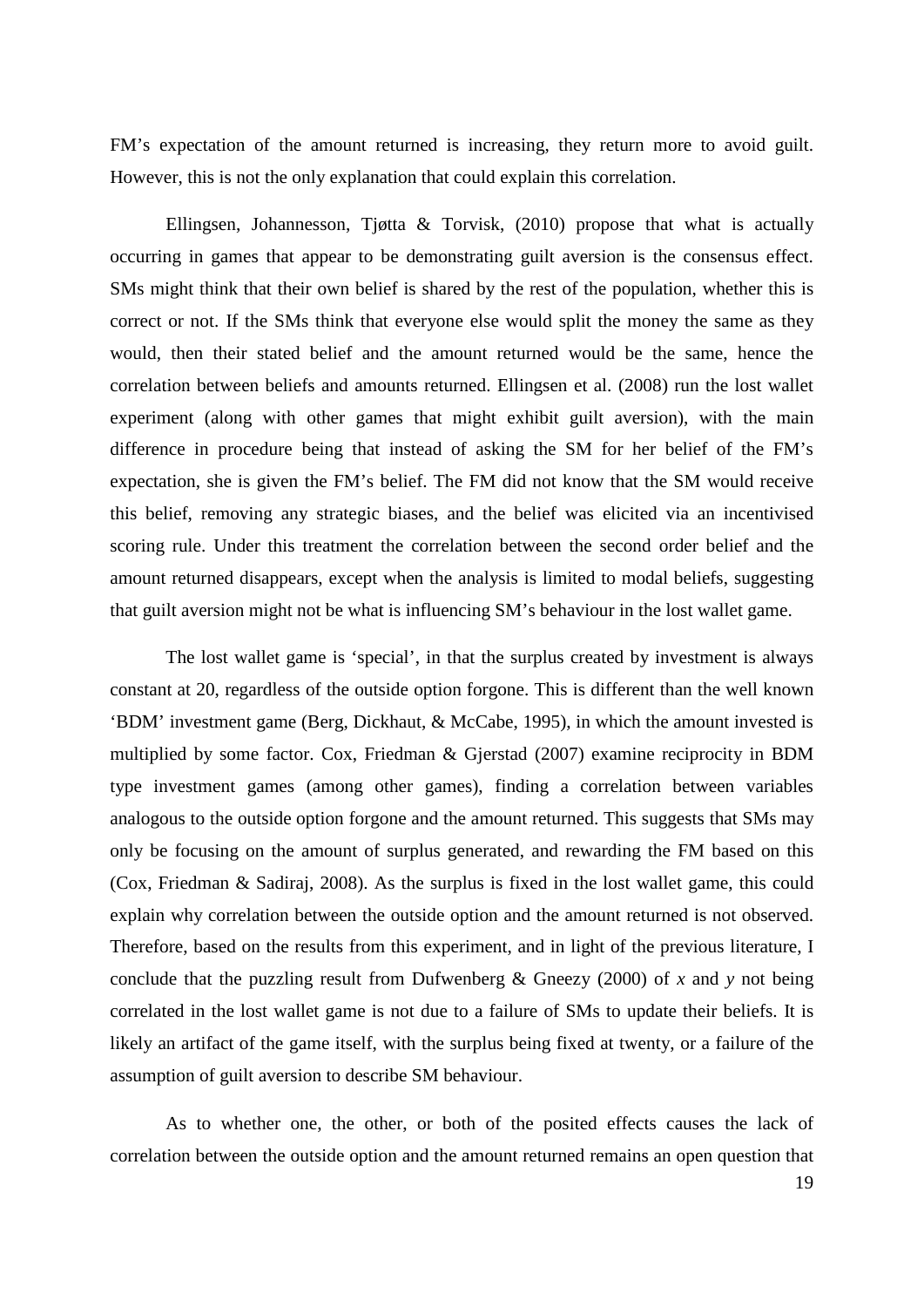FM's expectation of the amount returned is increasing, they return more to avoid guilt. However, this is not the only explanation that could explain this correlation.

Ellingsen, Johannesson, Tjøtta & Torvisk, (2010) propose that what is actually occurring in games that appear to be demonstrating guilt aversion is the consensus effect. SMs might think that their own belief is shared by the rest of the population, whether this is correct or not. If the SMs think that everyone else would split the money the same as they would, then their stated belief and the amount returned would be the same, hence the correlation between beliefs and amounts returned. Ellingsen et al. (2008) run the lost wallet experiment (along with other games that might exhibit guilt aversion), with the main difference in procedure being that instead of asking the SM for her belief of the FM's expectation, she is given the FM's belief. The FM did not know that the SM would receive this belief, removing any strategic biases, and the belief was elicited via an incentivised scoring rule. Under this treatment the correlation between the second order belief and the amount returned disappears, except when the analysis is limited to modal beliefs, suggesting that guilt aversion might not be what is influencing SM's behaviour in the lost wallet game.

The lost wallet game is 'special', in that the surplus created by investment is always constant at 20, regardless of the outside option forgone. This is different than the well known 'BDM' investment game (Berg, Dickhaut, & McCabe, 1995), in which the amount invested is multiplied by some factor. Cox, Friedman & Gjerstad (2007) examine reciprocity in BDM type investment games (among other games), finding a correlation between variables analogous to the outside option forgone and the amount returned. This suggests that SMs may only be focusing on the amount of surplus generated, and rewarding the FM based on this (Cox, Friedman & Sadiraj, 2008). As the surplus is fixed in the lost wallet game, this could explain why correlation between the outside option and the amount returned is not observed. Therefore, based on the results from this experiment, and in light of the previous literature, I conclude that the puzzling result from Dufwenberg & Gneezy (2000) of *x* and *y* not being correlated in the lost wallet game is not due to a failure of SMs to update their beliefs. It is likely an artifact of the game itself, with the surplus being fixed at twenty, or a failure of the assumption of guilt aversion to describe SM behaviour.

As to whether one, the other, or both of the posited effects causes the lack of correlation between the outside option and the amount returned remains an open question that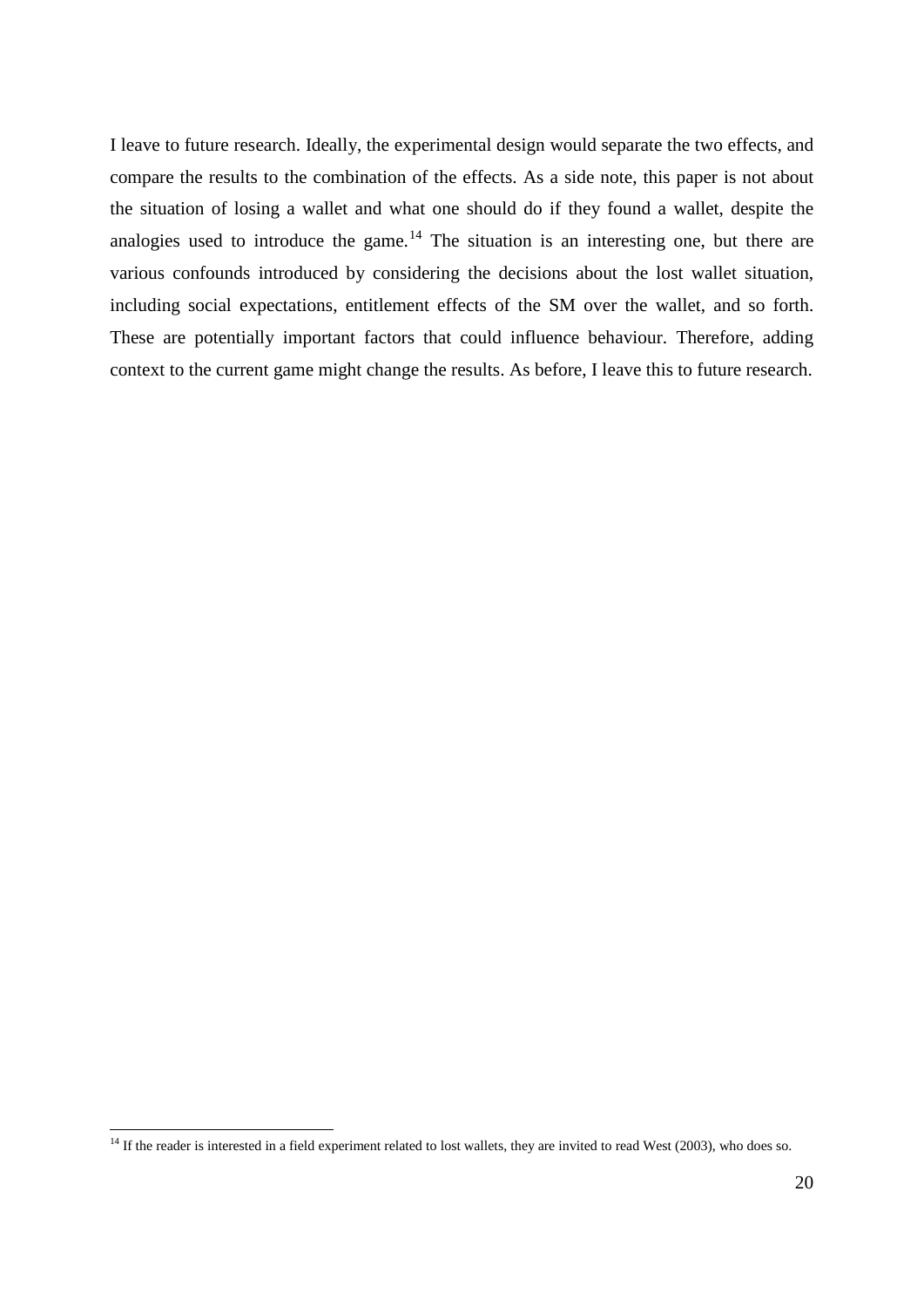I leave to future research. Ideally, the experimental design would separate the two effects, and compare the results to the combination of the effects. As a side note, this paper is not about the situation of losing a wallet and what one should do if they found a wallet, despite the analogies used to introduce the game.<sup>[14](#page-19-0)</sup> The situation is an interesting one, but there are various confounds introduced by considering the decisions about the lost wallet situation, including social expectations, entitlement effects of the SM over the wallet, and so forth. These are potentially important factors that could influence behaviour. Therefore, adding context to the current game might change the results. As before, I leave this to future research.

.<br>-

<span id="page-19-0"></span><sup>&</sup>lt;sup>14</sup> If the reader is interested in a field experiment related to lost wallets, they are invited to read West (2003), who does so.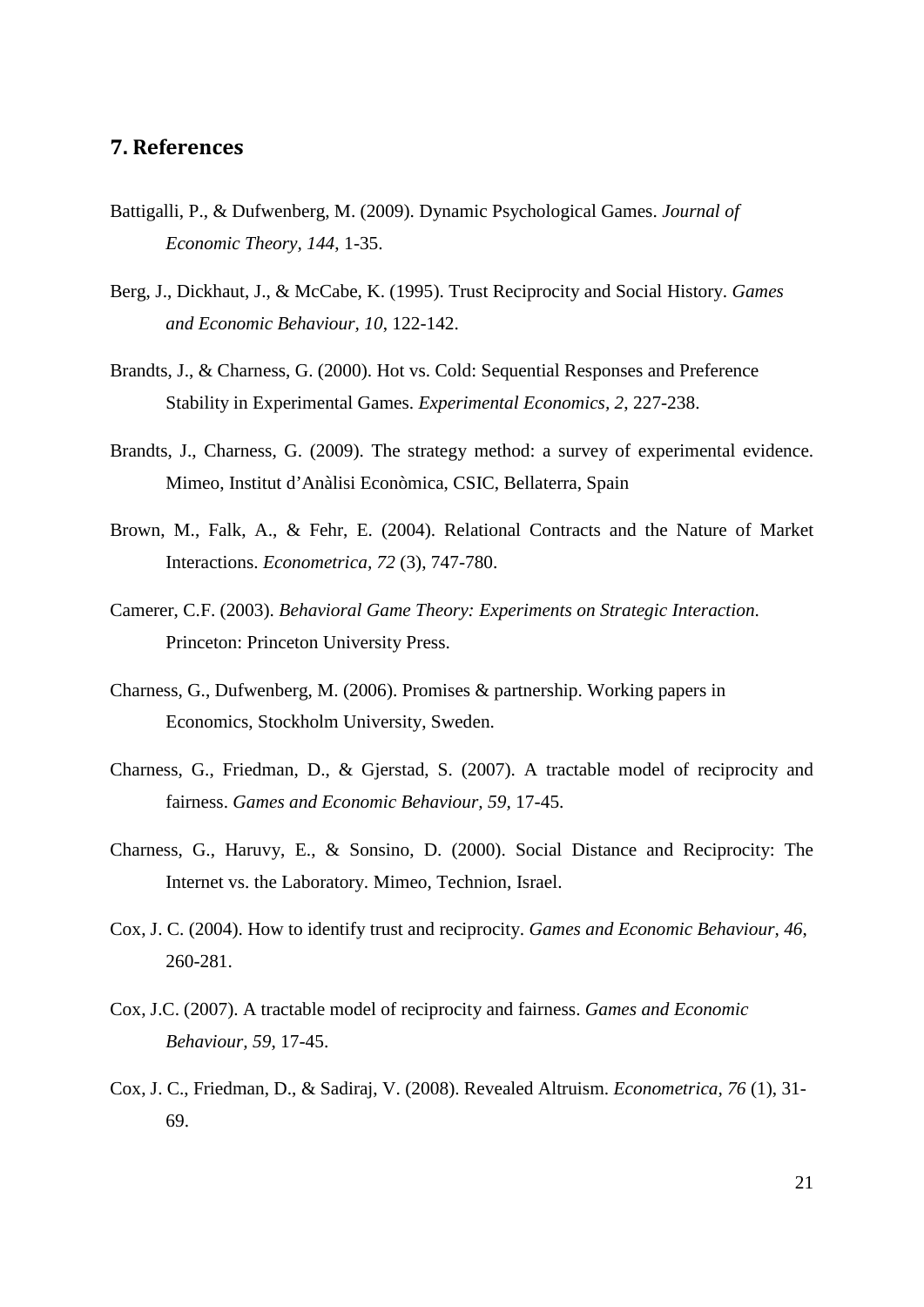# <span id="page-20-0"></span>**7. References**

- Battigalli, P., & Dufwenberg, M. (2009). Dynamic Psychological Games. *Journal of Economic Theory, 144*, 1-35.
- Berg, J., Dickhaut, J., & McCabe, K. (1995). Trust Reciprocity and Social History. *Games and Economic Behaviour, 10*, 122-142.
- Brandts, J., & Charness, G. (2000). Hot vs. Cold: Sequential Responses and Preference Stability in Experimental Games. *Experimental Economics, 2*, 227-238.
- Brandts, J., Charness, G. (2009). The strategy method: a survey of experimental evidence. Mimeo, Institut d'Anàlisi Econòmica, CSIC, Bellaterra, Spain
- Brown, M., Falk, A., & Fehr, E. (2004). Relational Contracts and the Nature of Market Interactions. *Econometrica, 72* (3), 747-780.
- Camerer, C.F. (2003). *Behavioral Game Theory: Experiments on Strategic Interaction*. Princeton: Princeton University Press.
- Charness, G., Dufwenberg, M. (2006). Promises & partnership. Working papers in Economics, Stockholm University, Sweden.
- Charness, G., Friedman, D., & Gjerstad, S. (2007). A tractable model of reciprocity and fairness. *Games and Economic Behaviour, 59,* 17-45.
- Charness, G., Haruvy, E., & Sonsino, D. (2000). Social Distance and Reciprocity: The Internet vs. the Laboratory. Mimeo, Technion, Israel.
- Cox, J. C. (2004). How to identify trust and reciprocity. *Games and Economic Behaviour, 46*, 260-281.
- Cox, J.C. (2007). A tractable model of reciprocity and fairness. *Games and Economic Behaviour, 59*, 17-45.
- Cox, J. C., Friedman, D., & Sadiraj, V. (2008). Revealed Altruism. *Econometrica, 76* (1), 31- 69.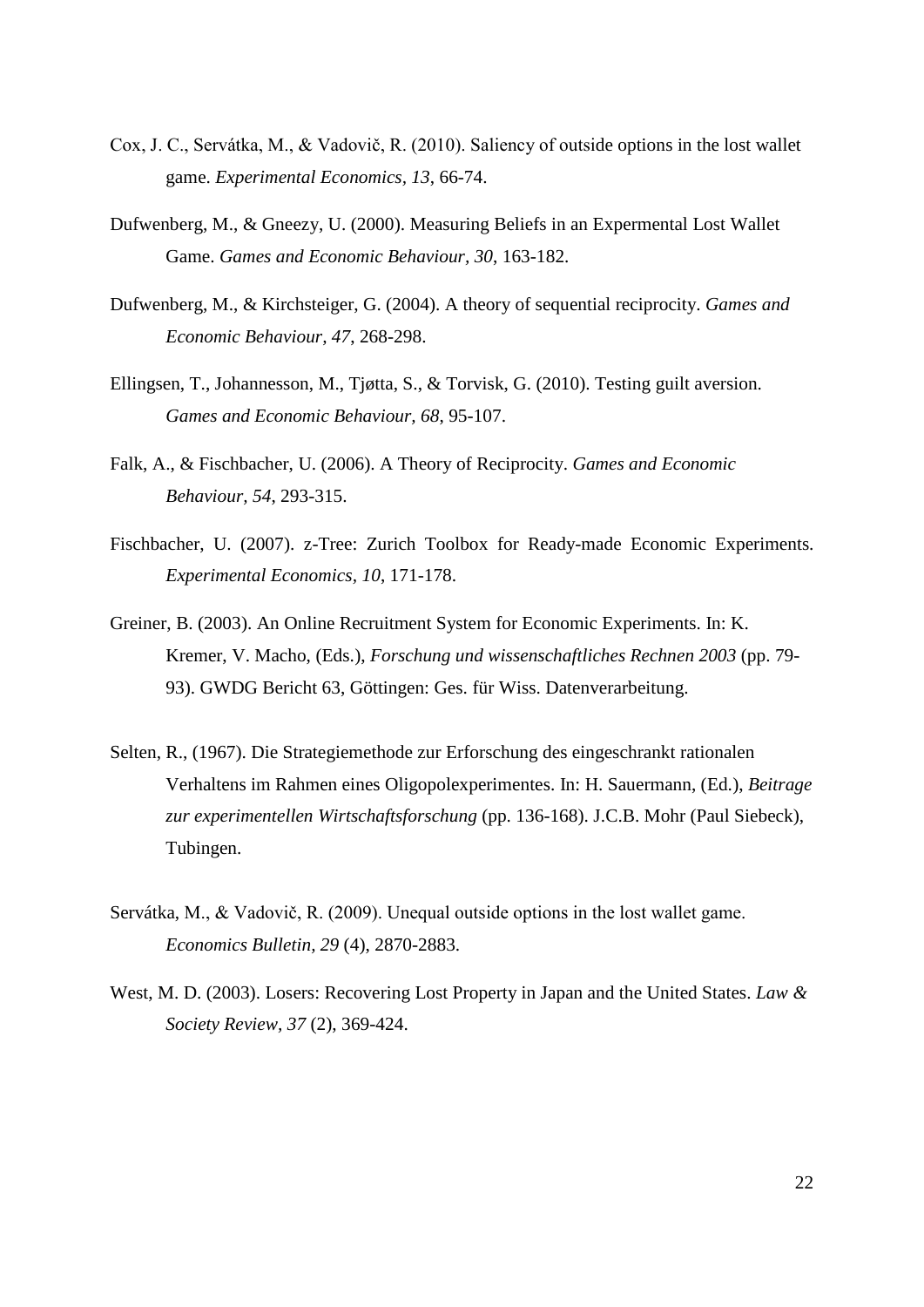- Cox, J. C., Servátka, M., & Vadovič, R. (2010). Saliency of outside options in the lost wallet game. *Experimental Economics, 13*, 66-74.
- Dufwenberg, M., & Gneezy, U. (2000). Measuring Beliefs in an Expermental Lost Wallet Game. *Games and Economic Behaviour, 30*, 163-182.
- Dufwenberg, M., & Kirchsteiger, G. (2004). A theory of sequential reciprocity. *Games and Economic Behaviour, 47*, 268-298.
- Ellingsen, T., Johannesson, M., Tjøtta, S., & Torvisk, G. (2010). Testing guilt aversion. *Games and Economic Behaviour, 68*, 95-107.
- Falk, A., & Fischbacher, U. (2006). A Theory of Reciprocity. *Games and Economic Behaviour, 54*, 293-315.
- Fischbacher, U. (2007). z-Tree: Zurich Toolbox for Ready-made Economic Experiments. *Experimental Economics, 10*, 171-178.
- Greiner, B. (2003). An Online Recruitment System for Economic Experiments. In: K. Kremer, V. Macho, (Eds.), *Forschung und wissenschaftliches Rechnen 2003* (pp. 79- 93). GWDG Bericht 63, Göttingen: Ges. für Wiss. Datenverarbeitung.
- Selten, R., (1967). Die Strategiemethode zur Erforschung des eingeschrankt rationalen Verhaltens im Rahmen eines Oligopolexperimentes. In: H. Sauermann, (Ed.), *Beitrage zur experimentellen Wirtschaftsforschung* (pp. 136-168). J.C.B. Mohr (Paul Siebeck), Tubingen.
- Servátka, M., & Vadovič, R. (2009). Unequal outside options in the lost wallet game. *Economics Bulletin, 29* (4), 2870-2883.
- West, M. D. (2003). Losers: Recovering Lost Property in Japan and the United States. *Law & Society Review, 37* (2), 369-424.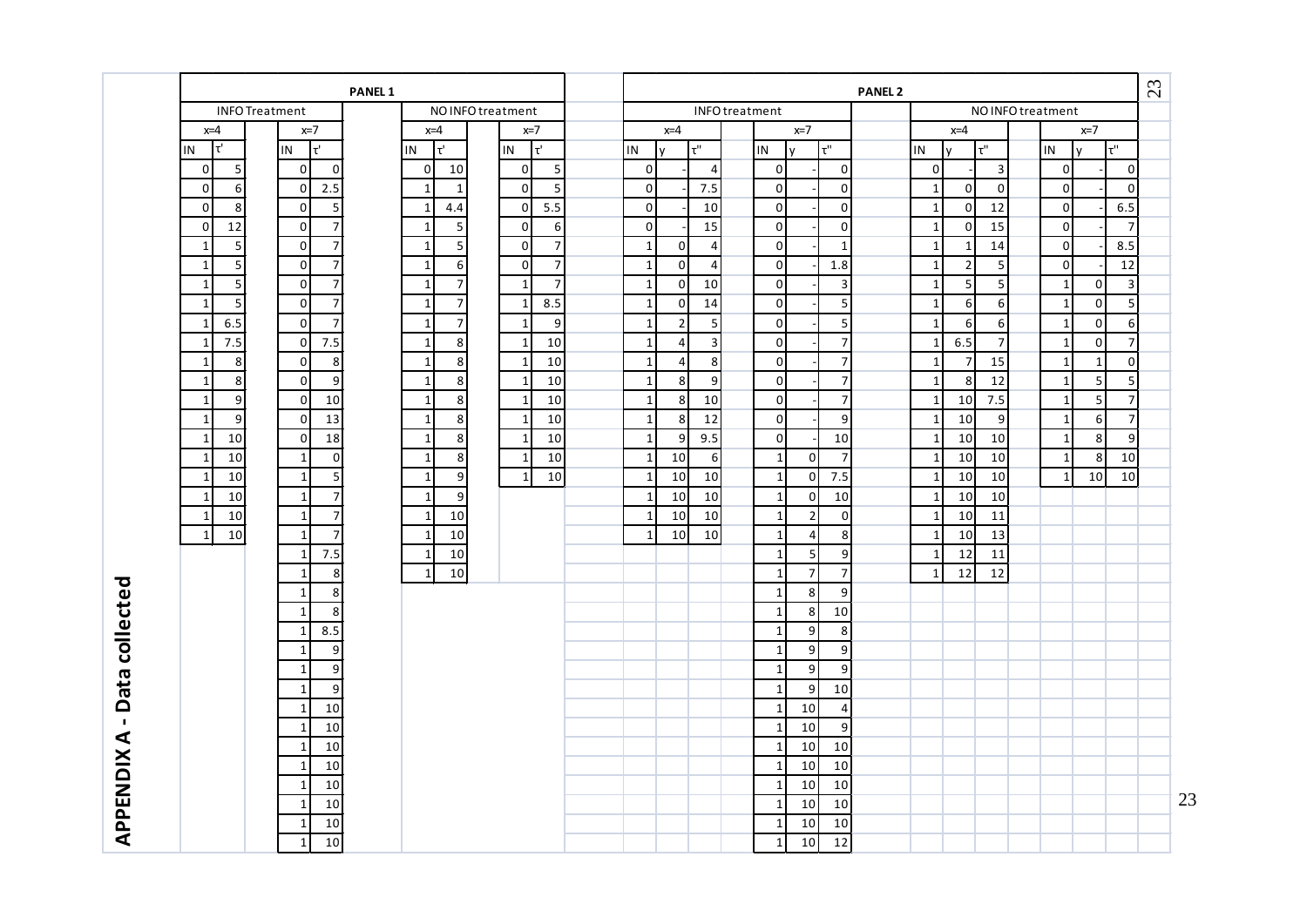|                  |                                | <b>PANEL 1</b>                   |                                  |                                    |                                     |                  |                |       |                |                 |                     | <b>PANEL 2</b> |                |                  |                  |              |                |                                          | 23 |
|------------------|--------------------------------|----------------------------------|----------------------------------|------------------------------------|-------------------------------------|------------------|----------------|-------|----------------|-----------------|---------------------|----------------|----------------|------------------|------------------|--------------|----------------|------------------------------------------|----|
|                  | <b>INFO Treatment</b>          |                                  | NO INFO treatment                |                                    | INFO treatment<br>NO INFO treatment |                  |                |       |                |                 |                     |                |                |                  |                  |              |                |                                          |    |
|                  | $x=4$                          | $x=7$                            | $x=4$                            | $x=7$                              |                                     | $x=4$            |                | $x=7$ |                |                 |                     | $x=7$<br>$x=4$ |                |                  |                  |              |                |                                          |    |
|                  | $\tau'$<br>IN                  | IN<br>lτ'                        | $\tau'$<br>IN                    | Ιť<br>IN                           | IN                                  | <b>V</b>         | $\tau$ "       |       | IN             | V               | $\tau^{\mathrm{u}}$ |                | IN             | <b>V</b>         | τ"               | IN           | v              | $\overline{\mathfrak{r}^{\mathfrak{n}}}$ |    |
|                  | $\mathbf 0$<br>5               | $\mathbf 0$<br>$\overline{0}$    | $\overline{0}$<br>10             | 5<br>$\overline{0}$                | $\overline{0}$                      |                  | $\overline{4}$ |       | $\overline{0}$ |                 | $\mathbf 0$         |                | $\overline{0}$ |                  | $\mathbf{3}$     | $\mathbf 0$  |                | $\boldsymbol{0}$                         |    |
|                  | $\mathbf 0$<br>6               | 2.5<br>$\overline{0}$            | $\mathbf{1}$<br>$\overline{1}$   | 5<br>$\overline{0}$                | $\overline{0}$                      |                  | 7.5            |       | $\overline{0}$ |                 | $\pmb{0}$           |                | $\mathbf{1}$   | $\mathsf 0$      | $\overline{0}$   | $\mathbf 0$  |                | $\mathbf 0$                              |    |
|                  | $\mathbf{0}$<br>8              | $\sqrt{5}$<br>$\overline{0}$     | 4.4<br>$\mathbf{1}$              | 5.5<br>$\overline{0}$              | $\overline{0}$                      |                  | 10             |       | $\overline{0}$ |                 | $\mathbf 0$         |                | $\mathbf{1}$   | $\mathbf 0$      | 12               | $\mathbf 0$  |                | 6.5                                      |    |
|                  | 12<br>$\overline{0}$           | $\overline{7}$<br>$\overline{0}$ | 5<br>$\mathbf{1}$                | $\boldsymbol{6}$<br>$\overline{0}$ | $\overline{0}$                      |                  | 15             |       | $\overline{0}$ |                 | $\pmb{0}$           |                | $\mathbf{1}$   | $\mathbf 0$      | 15               | $\mathbf 0$  |                | $\overline{7}$                           |    |
|                  | $\mathbf{1}$<br>$\overline{5}$ | $\overline{7}$<br>$\overline{0}$ | $\mathbf{1}$<br>$\sqrt{5}$       | $\overline{7}$<br>$\overline{0}$   | $\mathbf 1$                         | $\mathbf 0$      | $\overline{4}$ |       | $\overline{0}$ |                 | $\mathbf 1$         |                | $\mathbf{1}$   | $\mathbf{1}$     | 14               | $\pmb{0}$    |                | 8.5                                      |    |
|                  | $\sqrt{5}$<br>$\mathbf{1}$     | $\overline{7}$<br>$\overline{0}$ | $\mathbf{1}$<br>6                | $\overline{7}$<br>$\overline{0}$   | $\mathbf{1}$                        | $\pmb{0}$        | $\overline{4}$ |       | $\overline{0}$ |                 | 1.8                 |                | $\mathbf{1}$   | $\mathbf 2$      | $5\overline{)}$  | $\mathbf 0$  |                | 12                                       |    |
|                  | $\sqrt{5}$<br>$\mathbf{1}$     | $\overline{7}$<br>$\overline{0}$ | $\overline{7}$<br>$\mathbf{1}$   | $\overline{7}$<br>$\mathbf{1}$     | $\mathbf{1}$                        | $\pmb{0}$        | 10             |       | $\overline{0}$ |                 | $\mathsf 3$         |                | $\mathbf{1}$   | 5                | $5\overline{)}$  | $\mathbf{1}$ | $\overline{0}$ | $\mathsf 3$                              |    |
|                  | $\overline{5}$<br>1            | $\overline{7}$<br>$\overline{0}$ | $\overline{7}$<br>$\mathbf{1}$   | 8.5<br>$\mathbf{1}$                | $\mathbf{1}$                        | $\mathbf 0$      | 14             |       | $\overline{0}$ |                 | $\sqrt{5}$          |                | 1              | 6                | $6 \overline{6}$ | $\mathbf{1}$ | $\overline{0}$ | 5                                        |    |
|                  | 6.5<br>$\mathbf{1}$            | $\overline{7}$<br>$\Omega$       | $\overline{7}$<br>$\mathbf{1}$   | 9<br>$\mathbf{1}$                  | $\mathbf 1$                         | $\mathbf 2$      | 5              |       | $\overline{0}$ |                 | $\sf 5$             |                | $\mathbf{1}$   | $\boldsymbol{6}$ | 6                | $\mathbf{1}$ | $\Omega$       | $\boldsymbol{6}$                         |    |
|                  | 7.5<br>$\mathbf{1}$            | 7.5<br>$\overline{0}$            | $\bf 8$<br>$\mathbf{1}$          | 10<br>$\mathbf{1}$                 | $\mathbf{1}$                        | $\overline{4}$   | $\overline{3}$ |       | $\overline{0}$ |                 | $\overline{7}$      |                | $\mathbf{1}$   | 6.5              | $\overline{7}$   | $\mathbf{1}$ | $\overline{0}$ | $\overline{7}$                           |    |
|                  | $\,$ 8 $\,$<br>$\mathbf{1}$    | $\overline{0}$<br>8              | $\mathbf{1}$<br>$\,$ 8 $\,$      | 10<br>$\mathbf{1}$                 | $\mathbf{1}$                        | $\overline{4}$   | 8              |       | $\overline{0}$ |                 | $\overline{7}$      |                | $\mathbf{1}$   | $\overline{7}$   | 15               | $\mathbf{1}$ | $1\vert$       | $\overline{0}$                           |    |
|                  | $\mathbf{1}$<br>8              | 9<br>$\overline{0}$              | $\mathbf{1}$<br>$\,8\,$          | 10<br>$\mathbf{1}$                 | $\mathbf{1}$                        | 8                | 9              |       | $\overline{0}$ |                 | $\overline{7}$      |                | $\mathbf{1}$   | 8                | 12               | $\mathbf{1}$ | 5 <sub>l</sub> | 5                                        |    |
|                  | $\mathbf{1}$<br>9              | $\Omega$<br>10                   | $\bf 8$<br>$\mathbf{1}$          | 10<br>1                            | $\mathbf 1$                         | 8                | 10             |       | $\overline{0}$ |                 | $\overline{7}$      |                | $\mathbf{1}$   | 10               | 7.5              | $\mathbf{1}$ | 5 <sub>l</sub> | $\overline{7}$                           |    |
|                  | $9$<br>$\mathbf{1}$            | $\overline{0}$<br>13             | $\mathbf{1}$<br>$\,8\,$          | 10<br>$\mathbf 1$                  | $\mathbf{1}$                        | 8                | 12             |       | $\overline{0}$ |                 | $\boldsymbol{9}$    |                | $\mathbf{1}$   | 10               | 9                | $\mathbf{1}$ | $6 \mid$       | $\overline{7}$                           |    |
|                  | 10<br>$\mathbf{1}$             | 18<br>$\overline{0}$             | $\mathbf{1}$<br>$\,8\,$          | 10<br>$\mathbf{1}$                 | $1\overline{ }$                     | $\boldsymbol{9}$ | 9.5            |       | $\overline{0}$ |                 | 10                  |                | $\mathbf{1}$   | 10               | 10               | $\mathbf{1}$ | 8 <sup>1</sup> | 9                                        |    |
|                  | 10<br>$\mathbf{1}$             | $\pmb{0}$<br>$\mathbf{1}$        | $\,8\,$<br>$\mathbf{1}$          | 10<br>$\mathbf{1}$                 | $1\vert$                            | 10               | 6              |       | $\vert$ 1      | $\overline{0}$  | $\overline{7}$      |                | $\mathbf{1}$   | 10               | 10               | $\mathbf{1}$ | 8 <sup>1</sup> | 10                                       |    |
|                  | $\mathbf{1}$<br>10             | 5<br>$\mathbf{1}$                | $\boldsymbol{9}$<br>$\mathbf{1}$ | 10<br>$\mathbf{1}$                 | $\mathbf{1}$                        | 10               | 10             |       | $\mathbf{1}$   | $\overline{0}$  | 7.5                 |                | $\mathbf{1}$   | 10               | 10               | $\mathbf{1}$ | 10             | 10                                       |    |
|                  | $\mathbf{1}$<br>10             | $\overline{7}$<br>1              | $\mathbf{1}$<br>9                |                                    | $1\overline{ }$                     | 10               | 10             |       | 1              | $\overline{0}$  | 10                  |                | 1              | 10               | 10               |              |                |                                          |    |
|                  | 10<br>$\mathbf{1}$             | $\overline{7}$<br>1              | $\mathbf{1}$<br>10               |                                    | $\mathbf{1}$                        | 10               | 10             |       | $\vert$ 1      | $\overline{2}$  | $\vert$ 0           |                | $\mathbf{1}$   | 10               | 11               |              |                |                                          |    |
|                  | 10<br>$\mathbf{1}$             | $\overline{7}$<br>$\mathbf{1}$   | 10<br>$\mathbf{1}$               |                                    | $\mathbf{1}$                        | 10               | 10             |       | $\mathbf{1}$   | $\overline{4}$  | 8                   |                | -1             | 10               | 13               |              |                |                                          |    |
|                  |                                | 7.5<br>$\mathbf{1}$              | 10<br>$\mathbf{1}$               |                                    |                                     |                  |                |       | $\vert$ 1      | 5 <sub>l</sub>  | $\vert 9 \vert$     |                | 1              | 12               | 11               |              |                |                                          |    |
|                  |                                | 8<br>1                           | 10<br>$\mathbf{1}$               |                                    |                                     |                  |                |       | $\mathbf{1}$   | 7               | $\overline{7}$      |                | $\overline{1}$ | 12               | 12               |              |                |                                          |    |
| Data collected   |                                | 8<br>$\mathbf{1}$                |                                  |                                    |                                     |                  |                |       | $\mathbf{1}$   | 8 <sup>1</sup>  | $9\,$               |                |                |                  |                  |              |                |                                          |    |
|                  |                                | 8<br>$\overline{1}$              |                                  |                                    |                                     |                  |                |       | $\overline{1}$ | 8 <sup>1</sup>  | 10                  |                |                |                  |                  |              |                |                                          |    |
|                  |                                | 8.5<br>1                         |                                  |                                    |                                     |                  |                |       | $\vert$ 1      | 9               | $\,8\,$             |                |                |                  |                  |              |                |                                          |    |
|                  |                                | $\boldsymbol{9}$<br>1            |                                  |                                    |                                     |                  |                |       | $\mathbf{1}$   | 9               | $\boldsymbol{9}$    |                |                |                  |                  |              |                |                                          |    |
|                  |                                | $\boldsymbol{9}$<br>$\mathbf{1}$ |                                  |                                    |                                     |                  |                |       | $\vert$ 1      | $\overline{9}$  | $\boldsymbol{9}$    |                |                |                  |                  |              |                |                                          |    |
|                  |                                | $\overline{9}$<br>$\mathbf{1}$   |                                  |                                    |                                     |                  |                |       | $1\vert$       | 9               | 10                  |                |                |                  |                  |              |                |                                          |    |
|                  |                                | 10<br>$\mathbf{1}$               |                                  |                                    |                                     |                  |                |       | $\vert$ 1      | 10              | $\overline{4}$      |                |                |                  |                  |              |                |                                          |    |
| $\mathbf{I}$     |                                | 10<br>1                          |                                  |                                    |                                     |                  |                |       | $\mathbf{1}$   | 10              | 9                   |                |                |                  |                  |              |                |                                          |    |
|                  |                                | 10<br>$\mathbf{1}$               |                                  |                                    |                                     |                  |                |       | $1\vert$       | 10 <sup>1</sup> | 10                  |                |                |                  |                  |              |                |                                          |    |
|                  |                                | 10<br>1                          |                                  |                                    |                                     |                  |                |       | $\mathbf{1}$   | 10              | 10                  |                |                |                  |                  |              |                |                                          |    |
| <b>APPENDIXA</b> |                                | 10<br>1                          |                                  |                                    |                                     |                  |                |       | $\mathbf{1}$   | 10              | 10                  |                |                |                  |                  |              |                |                                          |    |
|                  |                                | 10<br>1                          |                                  |                                    |                                     |                  |                |       | $\mathbf{1}$   | 10              | 10                  |                |                |                  |                  |              |                |                                          | 23 |
|                  |                                | 10                               |                                  |                                    |                                     |                  |                |       | $\mathbf{1}$   | 10 <sup>1</sup> | 10                  |                |                |                  |                  |              |                |                                          |    |
|                  |                                | -1<br>10                         |                                  |                                    |                                     |                  |                |       |                | 10              | 12                  |                |                |                  |                  |              |                |                                          |    |
|                  |                                | $\mathbf{1}$                     |                                  |                                    |                                     |                  |                |       | $\mathbf 1$    |                 |                     |                |                |                  |                  |              |                |                                          |    |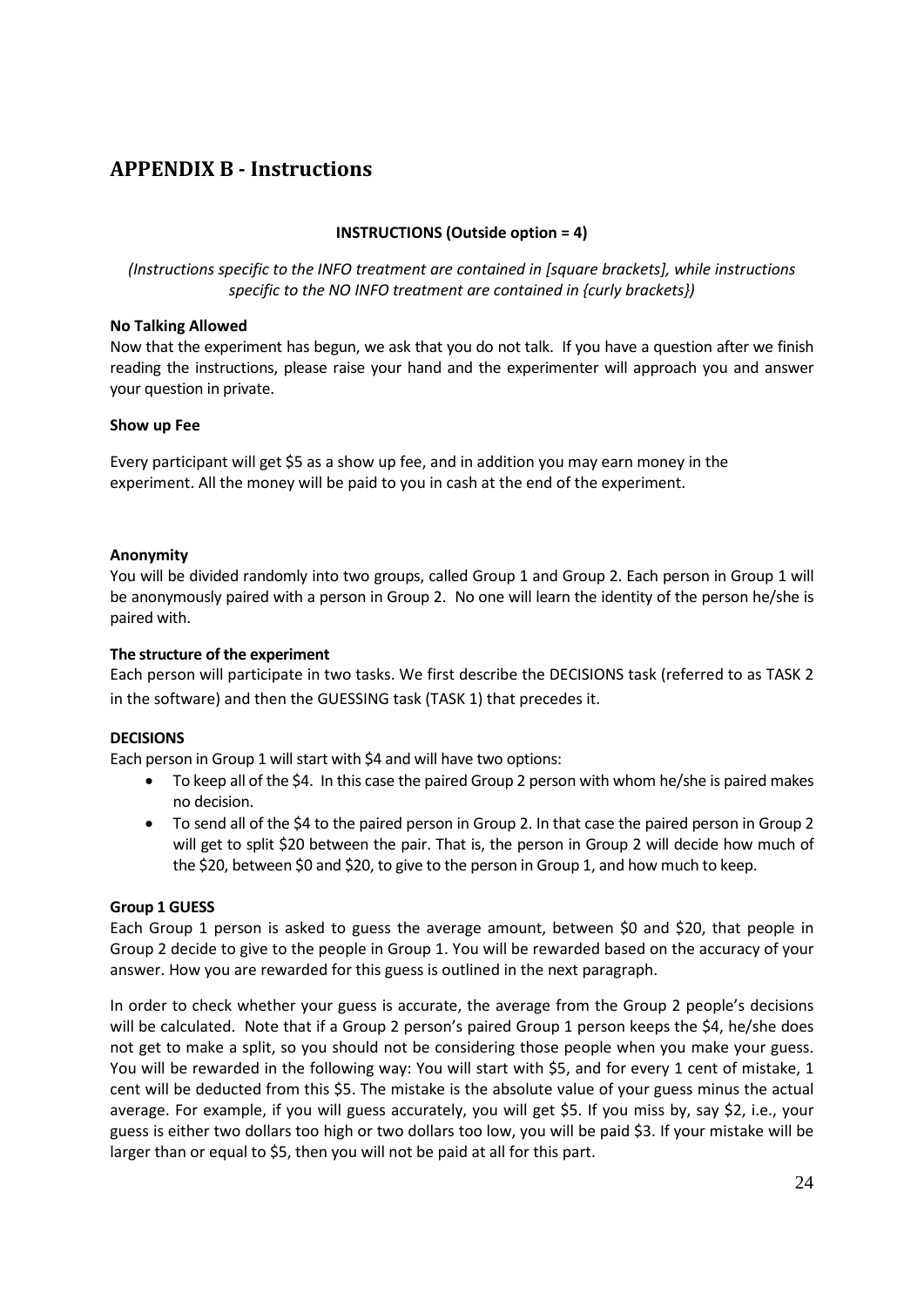# <span id="page-23-0"></span>**APPENDIX B - Instructions**

# **INSTRUCTIONS (Outside option = 4)**

*(Instructions specific to the INFO treatment are contained in [square brackets], while instructions specific to the NO INFO treatment are contained in {curly brackets})*

## **No Talking Allowed**

Now that the experiment has begun, we ask that you do not talk. If you have a question after we finish reading the instructions, please raise your hand and the experimenter will approach you and answer your question in private.

## **Show up Fee**

Every participant will get \$5 as a show up fee, and in addition you may earn money in the experiment. All the money will be paid to you in cash at the end of the experiment.

## **Anonymity**

You will be divided randomly into two groups, called Group 1 and Group 2. Each person in Group 1 will be anonymously paired with a person in Group 2. No one will learn the identity of the person he/she is paired with.

## **The structure of the experiment**

Each person will participate in two tasks. We first describe the DECISIONS task (referred to as TASK 2 in the software) and then the GUESSING task (TASK 1) that precedes it.

## **DECISIONS**

Each person in Group 1 will start with \$4 and will have two options:

- To keep all of the \$4. In this case the paired Group 2 person with whom he/she is paired makes no decision.
- To send all of the \$4 to the paired person in Group 2. In that case the paired person in Group 2 will get to split \$20 between the pair. That is, the person in Group 2 will decide how much of the \$20, between \$0 and \$20, to give to the person in Group 1, and how much to keep.

## **Group 1 GUESS**

Each Group 1 person is asked to guess the average amount, between \$0 and \$20, that people in Group 2 decide to give to the people in Group 1. You will be rewarded based on the accuracy of your answer. How you are rewarded for this guess is outlined in the next paragraph.

In order to check whether your guess is accurate, the average from the Group 2 people's decisions will be calculated. Note that if a Group 2 person's paired Group 1 person keeps the \$4, he/she does not get to make a split, so you should not be considering those people when you make your guess. You will be rewarded in the following way: You will start with \$5, and for every 1 cent of mistake, 1 cent will be deducted from this \$5. The mistake is the absolute value of your guess minus the actual average. For example, if you will guess accurately, you will get \$5. If you miss by, say \$2, i.e., your guess is either two dollars too high or two dollars too low, you will be paid \$3. If your mistake will be larger than or equal to \$5, then you will not be paid at all for this part.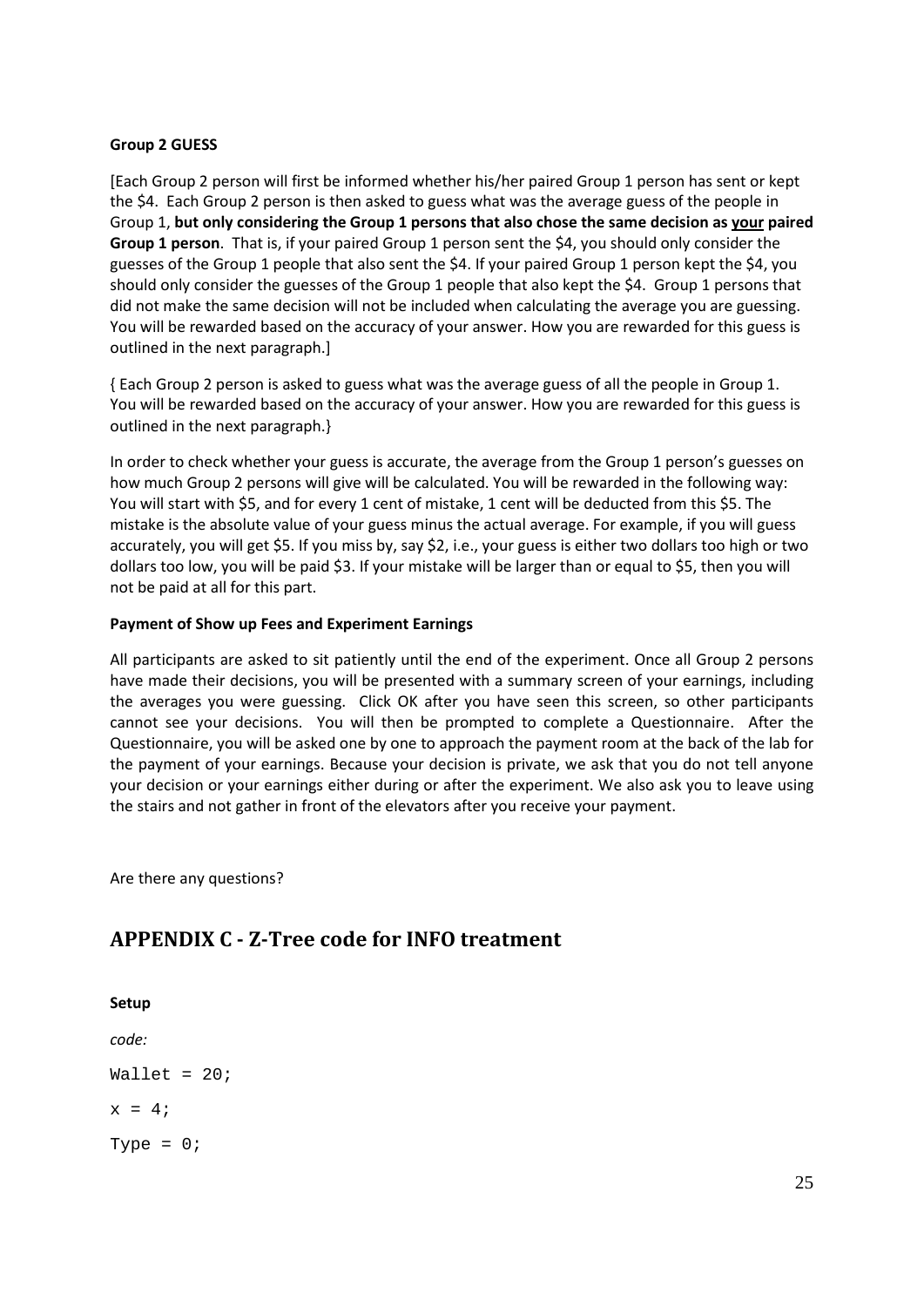## **Group 2 GUESS**

[Each Group 2 person will first be informed whether his/her paired Group 1 person has sent or kept the \$4. Each Group 2 person is then asked to guess what was the average guess of the people in Group 1, **but only considering the Group 1 persons that also chose the same decision as your paired Group 1 person**. That is, if your paired Group 1 person sent the \$4, you should only consider the guesses of the Group 1 people that also sent the \$4. If your paired Group 1 person kept the \$4, you should only consider the guesses of the Group 1 people that also kept the \$4. Group 1 persons that did not make the same decision will not be included when calculating the average you are guessing. You will be rewarded based on the accuracy of your answer. How you are rewarded for this guess is outlined in the next paragraph.]

{ Each Group 2 person is asked to guess what was the average guess of all the people in Group 1. You will be rewarded based on the accuracy of your answer. How you are rewarded for this guess is outlined in the next paragraph.}

In order to check whether your guess is accurate, the average from the Group 1 person's guesses on how much Group 2 persons will give will be calculated. You will be rewarded in the following way: You will start with \$5, and for every 1 cent of mistake, 1 cent will be deducted from this \$5. The mistake is the absolute value of your guess minus the actual average. For example, if you will guess accurately, you will get \$5. If you miss by, say \$2, i.e., your guess is either two dollars too high or two dollars too low, you will be paid \$3. If your mistake will be larger than or equal to \$5, then you will not be paid at all for this part.

# **Payment of Show up Fees and Experiment Earnings**

All participants are asked to sit patiently until the end of the experiment. Once all Group 2 persons have made their decisions, you will be presented with a summary screen of your earnings, including the averages you were guessing. Click OK after you have seen this screen, so other participants cannot see your decisions. You will then be prompted to complete a Questionnaire. After the Questionnaire, you will be asked one by one to approach the payment room at the back of the lab for the payment of your earnings. Because your decision is private, we ask that you do not tell anyone your decision or your earnings either during or after the experiment. We also ask you to leave using the stairs and not gather in front of the elevators after you receive your payment.

Are there any questions?

# <span id="page-24-0"></span>**APPENDIX C - Z-Tree code for INFO treatment**

**Setup**  *code:* Wallet =  $20;$  $x = 4;$ Type =  $0;$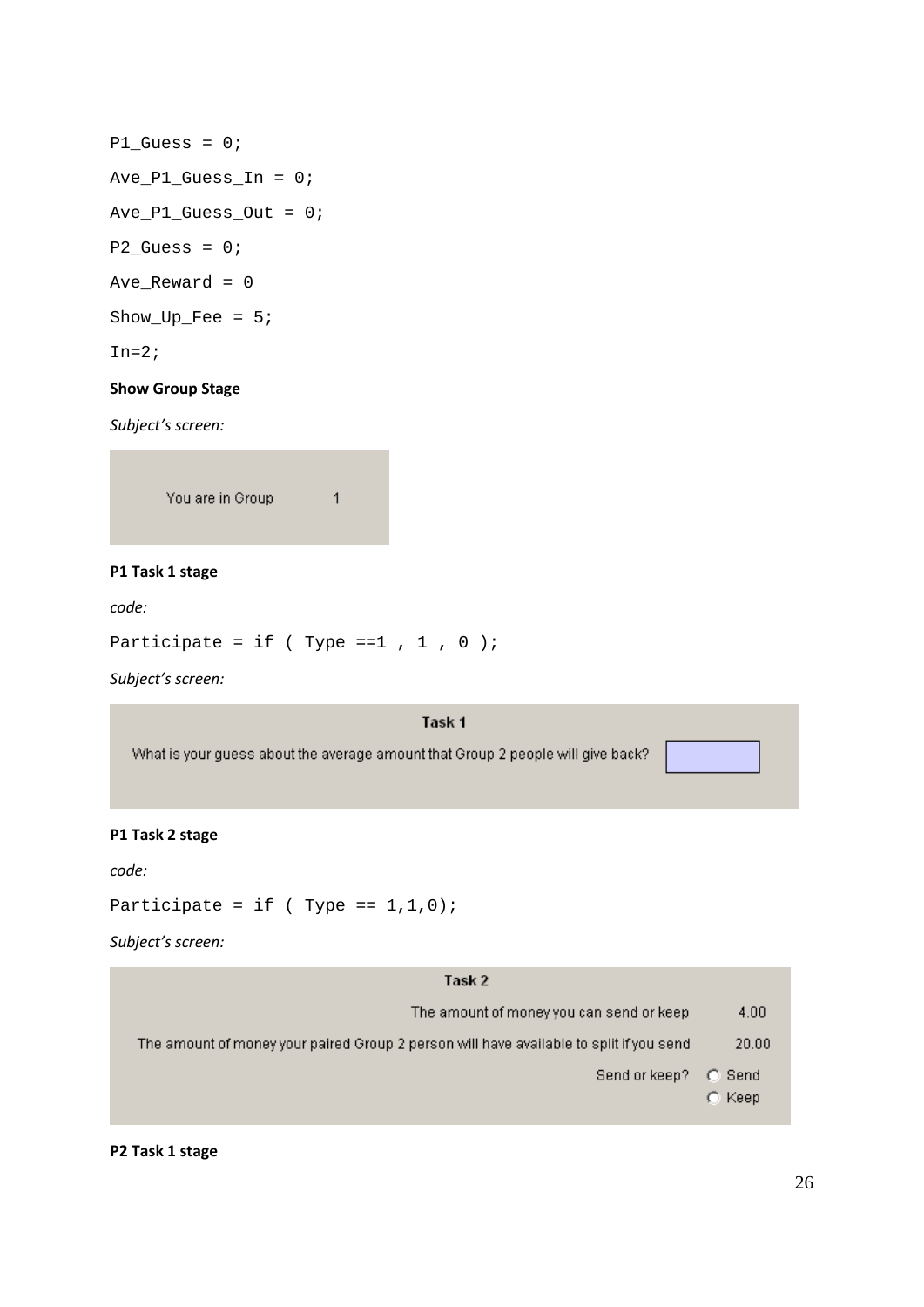```
P1_Guess = 0;
Ave_P1_Guess_In = 0; 
Ave_P1_Guess_Out = 0;P2_Guess = 0;Ave_Reward = 0
Show\_Up\_Fee = 5;In=2;
```
## **Show Group Stage**

*Subject's screen:*

You are in Group

### **P1 Task 1 stage**

*code:*

Participate = if ( Type == $1$ ,  $1$ ,  $0$  );

 $\mathbf 1$ 

*Subject's screen:*

#### Task 1

What is your guess about the average amount that Group 2 people will give back?

## **P1 Task 2 stage**

*code:*

Participate = if ( $Type == 1,1,0$ );

*Subject's screen:*

| Task 2                                                                                   |                          |
|------------------------------------------------------------------------------------------|--------------------------|
| The amount of money you can send or keep                                                 | 4.00                     |
| The amount of money your paired Group 2 person will have available to split if you send. | 20.00                    |
| Send or keep?                                                                            | C Send<br>$\subset$ Keep |

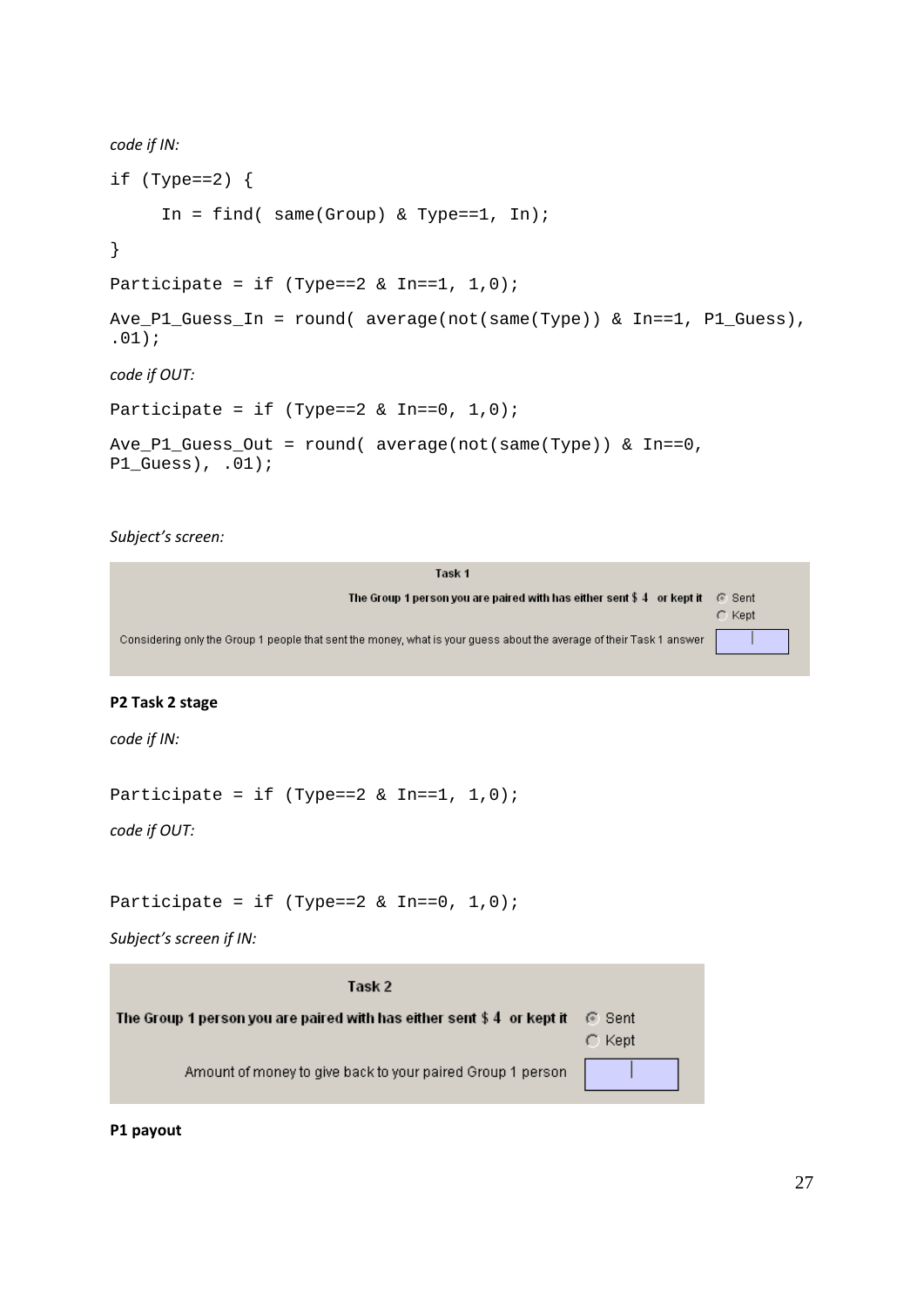```
code if IN:
if (\text{Type}==2) {
     In = find( same(Group) & Type==1, In);
}
Participate = if (Type==2 & In==1, 1,0);
Ave_P1_Guess_In = round( average(not(same(Type)) & In==1, P1_Guess), 
.01);
code if OUT:
Participate = if (Type==2 & In==0, 1,0);Ave_P1_Guess_Out = round( average(not(same(Type)) & In==0, 
P1_Guess), .01);
```
## *Subject's screen:*

| Task 1                                                                                                               |             |
|----------------------------------------------------------------------------------------------------------------------|-------------|
| The Group 1 person you are paired with has either sent $\$$ 4 or kept it                                             | - © Sent    |
|                                                                                                                      | $\cap$ Kept |
| Considering only the Group 1 people that sent the money, what is your quess about the average of their Task 1 answer |             |
|                                                                                                                      |             |

## **P2 Task 2 stage**

*code if IN:*

Participate = if (Type== $2 \& In==1, 1, 0$ );

*code if OUT:*

```
Participate = if (Type==2 & In==0, 1,0);
```
*Subject's screen if IN:*

| Task 2                                                                   |                       |
|--------------------------------------------------------------------------|-----------------------|
| The Group 1 person you are paired with has either sent $$4\;$ or kept it | ା Sent<br>$\cap$ Kept |
| Amount of money to give back to your paired Group 1 person               |                       |

**P1 payout**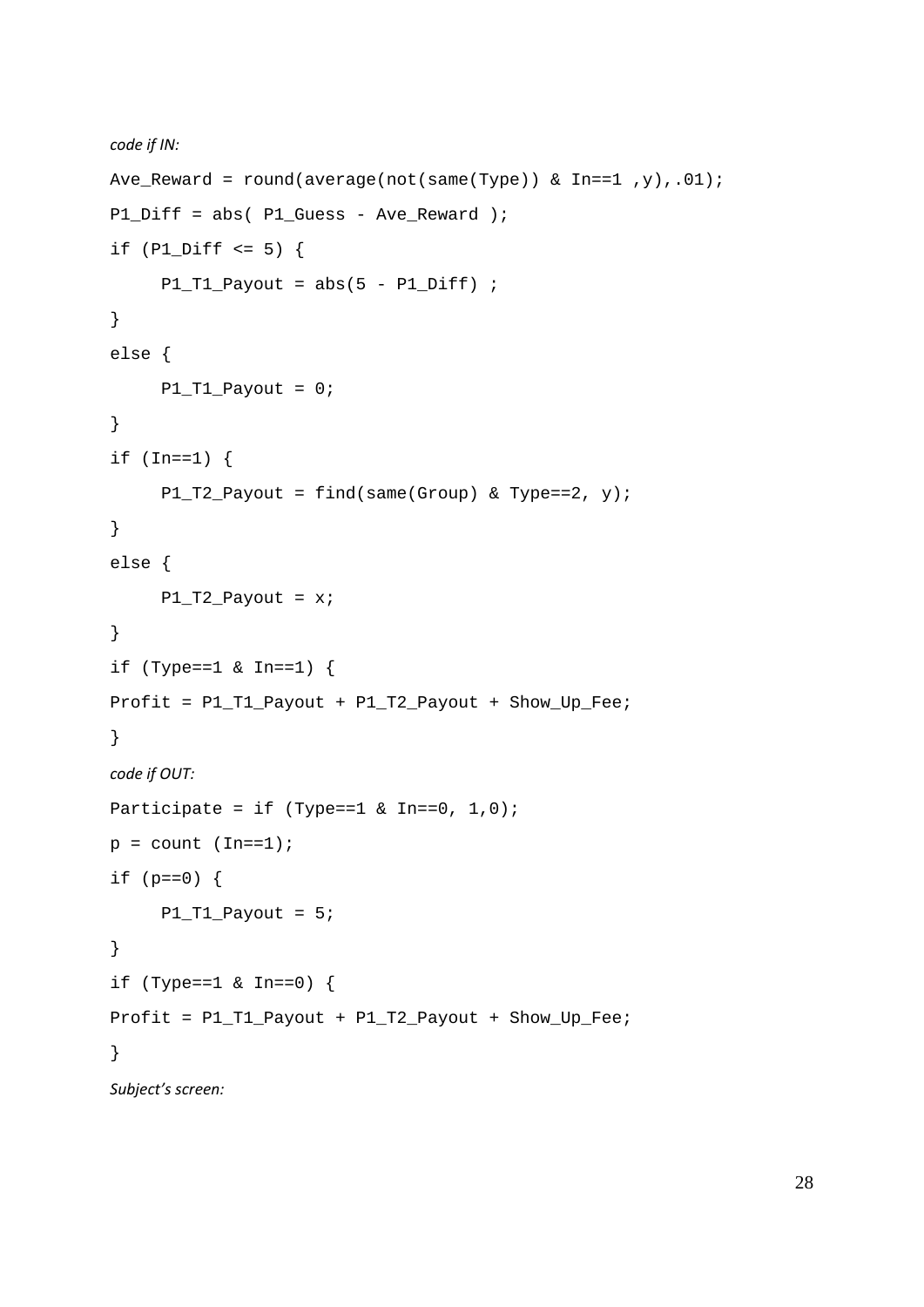```
code if IN:
Ave_Reward = round(average(not(same(Type)) \& In==1, y), .01;
P1_Diff = abs( P1_Guess - Ave_Reward );
if (PI\_Diff \leq 5) {
     P1_T1_Payout = abs(5 - P1_Diff) ;
}
else {
     P1_T1_Payout = 0;
}
if (In==1)P1_T2_Payout = find(same(Group) & Type==2, y);
}
else {
     P1_T2_Payout = x;}
if (Type==1 & In==1) {
Profit = P1_T1_Payout + P1_T2_Payout + Show_Up_Fee;
}
code if OUT:
Participate = if (Type==1 & In==0, 1,0);
p = count (In==1);if (p == 0) {
     P1_T1_Payout = 5;
}
if (Type==1 & In==0) {
Profit = P1_T1_Payout + P1_T2_Payout + Show_Up_Fee;
}
Subject's screen:
```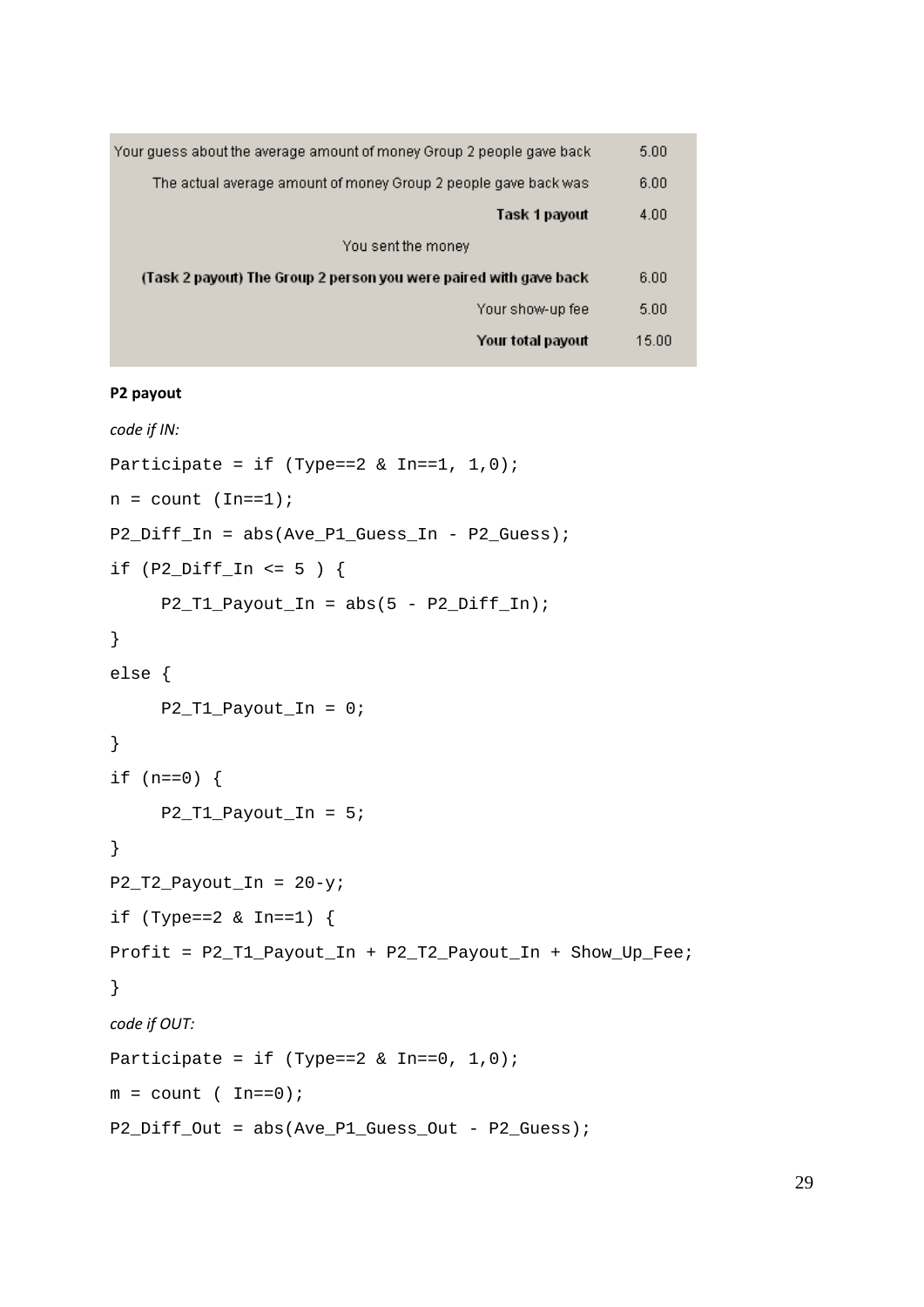| Your quess about the average amount of money Group 2 people gave back. | 5.00  |
|------------------------------------------------------------------------|-------|
| The actual average amount of money Group 2 people gave back was        |       |
| Task 1 payout                                                          | 4.00  |
| You sent the money                                                     |       |
| (Task 2 payout) The Group 2 person you were paired with gave back      | 6.00  |
| Your show-up fee                                                       | 5.00  |
| Your total payout                                                      | 15.00 |

#### **P2 payout**

```
code if IN:
Participate = if (\text{Type} == 2 \& \text{In} == 1, 1, 0);n = count (In==1);P2_Diff\_In = abs(Ave_P1_Gues_S_in - P2_Guess);if (P2 Diff In \leq 5 ) {
     P2 T1 Payout In = abs(5 - P2 Diff In);
}
else {
     P2 T1 Payout In = 0;}
if (n == 0) {
      P2_T1_Payout_In = 5;
}
P2_T2_Payout_In = 20-y;
if (Type==2 & In==1) {
Profit = P2_T1_Payout_In + P2_T2_Payout_In + Show_Up_Fee;
}
code if OUT:
Participate = if (Type==2 & In==0, 1,0);m = count ( In==0);
P2_Diff\_Out = abs(Ave\_P1_Guess\_Out - P2_Guess);
```